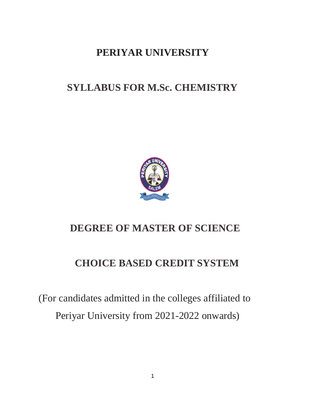# **PERIYAR UNIVERSITY**

# **SYLLABUS FOR M.Sc. CHEMISTRY**



# **DEGREE OF MASTER OF SCIENCE**

# **CHOICE BASED CREDIT SYSTEM**

(For candidates admitted in the colleges affiliated to Periyar University from 2021-2022 onwards)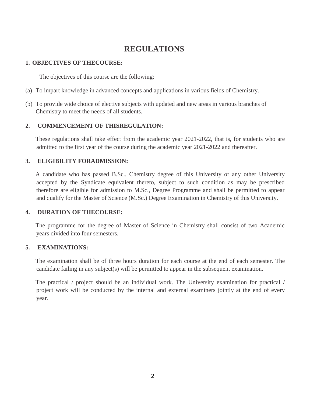## **REGULATIONS**

## **1. OBJECTIVES OF THECOURSE:**

The objectives of this course are the following:

- (a) To impart knowledge in advanced concepts and applications in various fields of Chemistry.
- (b) To provide wide choice of elective subjects with updated and new areas in various branches of Chemistry to meet the needs of all students.

## **2. COMMENCEMENT OF THISREGULATION:**

These regulations shall take effect from the academic year 2021-2022, that is, for students who are admitted to the first year of the course during the academic year 2021-2022 and thereafter.

## **3. ELIGIBILITY FORADMISSION:**

A candidate who has passed B.Sc., Chemistry degree of this University or any other University accepted by the Syndicate equivalent thereto, subject to such condition as may be prescribed therefore are eligible for admission to M.Sc., Degree Programme and shall be permitted to appear and qualify for the Master of Science (M.Sc.) Degree Examination in Chemistry of this University.

## **4. DURATION OF THECOURSE:**

The programme for the degree of Master of Science in Chemistry shall consist of two Academic years divided into four semesters.

## **5. EXAMINATIONS:**

The examination shall be of three hours duration for each course at the end of each semester. The candidate failing in any subject(s) will be permitted to appear in the subsequent examination.

The practical / project should be an individual work. The University examination for practical / project work will be conducted by the internal and external examiners jointly at the end of every year.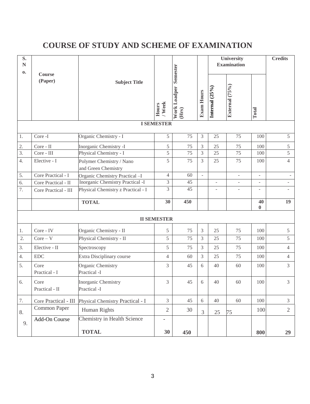# **COURSE OF STUDY AND SCHEME OF EXAMINATION**

| S.<br>${\bf N}$<br>0. | Course                 | Semester                                        |                    |                              | University<br><b>Examination</b> |                |                          | <b>Credits</b>           |                          |
|-----------------------|------------------------|-------------------------------------------------|--------------------|------------------------------|----------------------------------|----------------|--------------------------|--------------------------|--------------------------|
|                       | (Paper)                | <b>Subject Title</b>                            | / Week<br>Hours    | <b>Work Loadper</b><br>(Hrs) | <b>Exam Hours</b>                | Internal (25%) | External (75%)           | Total                    |                          |
|                       | <b>I SEMESTER</b>      |                                                 |                    |                              |                                  |                |                          |                          |                          |
| 1.                    | Core-I                 | Organic Chemistry - I                           | 5                  | 75                           | 3                                | 25             | 75                       | 100                      | 5                        |
| 2.                    | Core - II              | Inorganic Chemistry -I                          | 5                  | 75                           | 3                                | $25\,$         | 75                       | 100                      | 5                        |
| $\overline{3}$ .      | Core - III             | Physical Chemistry - I                          | 5                  | 75                           | 3                                | 25             | 75                       | 100                      | 5                        |
| 4.                    | Elective - I           | Polymer Chemistry / Nano<br>and Green Chemistry | 5                  | 75                           | 3                                | 25             | 75                       | 100                      | $\overline{4}$           |
| 5.                    | Core Practical - I     | Organic Chemistry Practical -I                  | $\overline{4}$     | 60                           | $\overline{\phantom{a}}$         |                | $\blacksquare$           | $\overline{\phantom{a}}$ | $\overline{\phantom{a}}$ |
| 6.                    | Core Practical - II    | <b>Inorganic Chemistry Practical -I</b>         | 3                  | 45                           |                                  | ÷,             | $\overline{\phantom{a}}$ | $\overline{\phantom{a}}$ | ÷.                       |
| 7.                    | Core Practical - III   | Physical Chemistry z Practical - I              | 3                  | 45                           |                                  |                |                          |                          |                          |
|                       |                        | <b>TOTAL</b>                                    | 30                 | 450                          |                                  |                |                          | 40<br>$\bf{0}$           | 19                       |
|                       |                        |                                                 | <b>II SEMESTER</b> |                              |                                  |                |                          |                          |                          |
| 1.                    | Core - IV              | Organic Chemistry - II                          | $\mathfrak s$      | 75                           | 3                                | 25             | 75                       | 100                      | $\mathfrak{S}$           |
| 2.                    | $Core - V$             | Physical Chemistry - II                         | 5                  | 75                           | 3                                | 25             | 75                       | 100                      | 5                        |
| 3.                    | Elective - II          | Spectroscopy                                    | 5                  | 75                           | 3                                | 25             | 75                       | 100                      | $\overline{4}$           |
| 4.                    | <b>EDC</b>             | Extra Disciplinary course                       | $\overline{4}$     | 60                           | 3                                | 25             | 75                       | 100                      | $\overline{4}$           |
| 5.                    | Core<br>Practical - I  | Organic Chemistry<br>Practical -I               | 3                  | 45                           | 6                                | 40             | 60                       | 100                      | $\mathfrak{Z}$           |
| 6.                    | Core<br>Practical - II | Inorganic Chemistry<br>Practical -I             | 3                  | 45                           | 6                                | 40             | 60                       | $100\,$                  | 3                        |
| 7.                    | Core Practical - III   | Physical Chemistry Practical - I                | $\overline{3}$     | 45                           | 6                                | 40             | 60                       | 100                      | $\mathfrak{Z}$           |
| 8.                    | Common Paper           | Human Rights                                    | $\sqrt{2}$         | 30                           | $\mathfrak{Z}$                   | 25             | 75                       | 100                      | $\overline{2}$           |
| 9.                    | Add-On Course          | Chemistry in Health Science                     | ۰                  |                              |                                  |                |                          |                          |                          |
|                       |                        | <b>TOTAL</b>                                    | 30                 | 450                          |                                  |                |                          | 800                      | 29                       |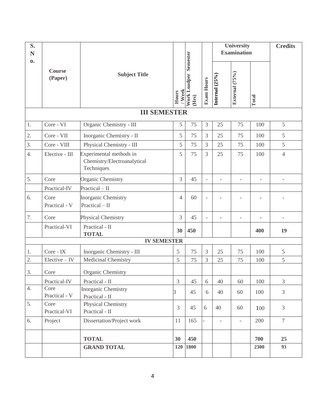| S.<br>N<br>$\mathbf{0}$ |                       |                                                                      |                 | <b>Work Loadper Semester</b><br>(Hrs) | <b>Exam Hours</b>        | <b>University</b><br><b>Examination</b> |                |                | <b>Credits</b> |
|-------------------------|-----------------------|----------------------------------------------------------------------|-----------------|---------------------------------------|--------------------------|-----------------------------------------|----------------|----------------|----------------|
|                         | Course<br>(Paper)     | <b>Subject Title</b>                                                 | / Week<br>Hours |                                       |                          | Internal (25%)                          | External (75%) | Total          |                |
|                         |                       | <b>III SEMESTER</b>                                                  |                 |                                       |                          |                                         |                |                |                |
| 1.                      | Core - VI             | Organic Chemistry - III                                              | 5               | 75                                    | 3                        | 25                                      | 75             | 100            | 5              |
| 2.                      | Core - VII            | Inorganic Chemistry - II                                             | 5               | 75                                    | 3                        | 25                                      | 75             | 100            | 5              |
| 3.                      | Core - VIII           | Physical Chemistry - III                                             | 5               | 75                                    | 3                        | 25                                      | 75             | 100            | 5              |
| $\overline{4}$ .        | Elective - III        | Experimental methods in<br>Chemistry/Electroanalytical<br>Techniques | 5               | 75                                    | 3                        | 25                                      | 75             | 100            | $\overline{4}$ |
| 5.                      | Core                  | Organic Chemistry                                                    | 3               | 45                                    | $\overline{\phantom{a}}$ | $\overline{a}$                          | $\overline{a}$ | $\overline{a}$ |                |
|                         | Practical-IV          | $Practical - II$                                                     |                 |                                       |                          |                                         |                |                |                |
| 6.                      | Core<br>Practical - V | <b>Inorganic Chemistry</b><br>$Practical - II$                       | $\overline{4}$  | 60                                    |                          |                                         |                |                |                |
| 7.                      | Core                  | Physical Chemistry                                                   | 3               | 45                                    |                          |                                         |                |                |                |
|                         | Practical-VI          | Practical - II<br><b>TOTAL</b>                                       | 30              | 450                                   |                          |                                         |                | 400            | 19             |
|                         |                       | <b>IV SEMESTER</b>                                                   |                 |                                       |                          |                                         |                |                |                |
| 1.                      | Core - IX             | Inorganic Chemistry - III                                            | 5               | 75                                    | 3                        | 25                                      | 75             | 100            | 5              |
| 2.                      | $Electric - IV$       | Medicinal Chemistry                                                  | 5               | 75                                    | 3                        | 25                                      | 75             | 100            | 5              |
| 3.                      | Core                  | Organic Chemistry                                                    |                 |                                       |                          |                                         |                |                |                |
|                         | Practical-IV          | Practical - II                                                       | 3               | 45                                    | 6                        | 40                                      | 60             | 100            | 3              |
| 4.                      | Core<br>Practical - V | <b>Inorganic Chemistry</b><br>Practical - II                         | 3               | 45                                    | 6                        | 40                                      | 60             | 100            | 3              |
| 5.                      | Core<br>Practical-VI  | Physical Chemistry<br>Practical - II                                 | $\overline{3}$  | 45                                    | 6                        | 40                                      | 60             | 100            | $\overline{3}$ |
| 6.                      | Project               | Dissertation/Project work                                            | 11              | 165                                   |                          | $\frac{1}{2}$                           | $\equiv$       | 200            | $\overline{7}$ |
|                         |                       | <b>TOTAL</b>                                                         | 30              | 450                                   |                          |                                         |                | 700            | 25             |
|                         |                       | <b>GRAND TOTAL</b>                                                   | 120             | 1800                                  |                          |                                         |                | 2300           | 93             |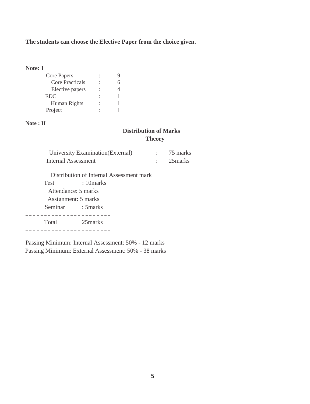## **The students can choose the Elective Paper from the choice given.**

## **Note: I**

| <b>Core Papers</b>     |  |
|------------------------|--|
| <b>Core Practicals</b> |  |
| Elective papers        |  |
| <b>EDC</b>             |  |
| Human Rights           |  |
| Project                |  |

### **Note : II**

## **Distribution of Marks Theory**

| University Examination (External) | 75 marks |
|-----------------------------------|----------|
| Internal Assessment               | 25 marks |

Distribution of Internal Assessment mark

| <b>Test</b> | : 10marks           |
|-------------|---------------------|
|             | Attendance: 5 marks |
|             | Assignment: 5 marks |
| Seminar     | : 5 marks           |
|             |                     |
| Total       | 25marks             |
|             |                     |

Passing Minimum: Internal Assessment: 50% - 12 marks Passing Minimum: External Assessment: 50% - 38 marks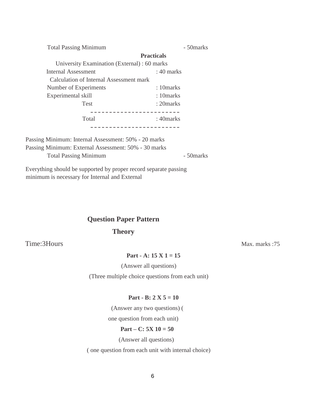Total Passing Minimum - 50marks

|                                              | <b>Practicals</b> |  |
|----------------------------------------------|-------------------|--|
| University Examination (External) : 60 marks |                   |  |
| <b>Internal Assessment</b>                   | $: 40$ marks      |  |
| Calculation of Internal Assessment mark      |                   |  |
| Number of Experiments                        | : 10 marks        |  |
| Experimental skill                           | : 10 marks        |  |
| <b>Test</b>                                  | : 20 marks        |  |
|                                              |                   |  |
| Total                                        | : 40 marks        |  |
|                                              |                   |  |

Passing Minimum: Internal Assessment: 50% - 20 marks Passing Minimum: External Assessment: 50% - 30 marks Total Passing Minimum - 50marks

Everything should be supported by proper record separate passing minimum is necessary for Internal and External

## **Question Paper Pattern**

## **Theory**

Time: 3Hours Max. marks : 75

**Part - A: 15 X 1 = 15**

(Answer all questions)

(Three multiple choice questions from each unit)

### **Part - B: 2 X 5 = 10**

(Answer any two questions) (

one question from each unit)

### **Part – C: 5X 10 = 50**

(Answer all questions)

( one question from each unit with internal choice)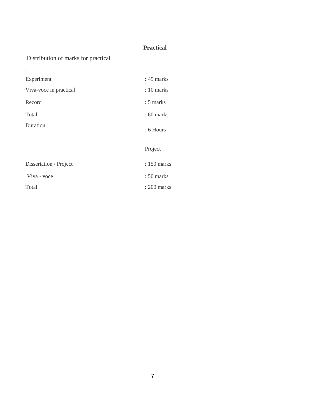## **Practical**

## Distribution of marks for practical

.

| Experiment             | $: 45$ marks |
|------------------------|--------------|
| Viva-voce in practical | $: 10$ marks |
| Record                 | $: 5$ marks  |
| Total                  | $: 60$ marks |
| Duration               | : 6 Hours    |
|                        | Project      |
| Dissertation / Project | : 150 marks  |
|                        |              |
| Viva - voce            | : 50 marks   |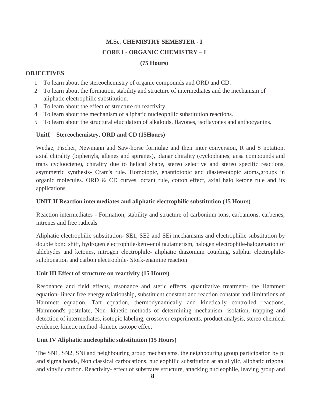# **M.Sc. CHEMISTRY SEMESTER - I CORE I - ORGANIC CHEMISTRY – I**

## **(75 Hours)**

## **OBJECTIVES**

- 1 To learn about the stereochemistry of organic compounds and ORD and CD.
- 2 To learn about the formation, stability and structure of intermediates and the mechanism of aliphatic electrophilic substitution.
- 3 To learn about the effect of structure on reactivity.
- 4 To learn about the mechanism of aliphatic nucleophilic substitution reactions.
- 5 To learn about the structural elucidation of alkaloids, flavones, isoflavones and anthocyanins.

## **UnitI Stereochemistry, ORD and CD (15Hours)**

Wedge, Fischer, Newmann and Saw-horse formulae and their inter conversion, R and S notation, axial chirality (biphenyls, allenes and spiranes), planar chirality (cyclophanes, ansa compounds and trans cyclooctene), chirality due to helical shape, stereo selective and stereo specific reactions, asymmetric synthesis- Cram's rule. Homotopic, enantiotopic and diastereotopic atoms,groups in organic molecules. ORD & CD curves, octant rule, cotton effect, axial halo ketone rule and its applications

## **UNIT II Reaction intermediates and aliphatic electrophilic substitution (15 Hours)**

Reaction intermediates - Formation, stability and structure of carbonium ions, carbanions, carbenes, nitrenes and free radicals

Aliphatic electrophilic substitution- SE1, SE2 and SEi mechanisms and electrophilic substitution by double bond shift, hydrogen electrophile-keto-enol tautamerism, halogen electrophile-halogenation of aldehydes and ketones, nitrogen electrophile- aliphatic diazonium coupling, sulphur electrophilesulphonation and carbon electrophile- Stork-enamine reaction

## **Unit III Effect of structure on reactivity (15 Hours)**

Resonance and field effects, resonance and steric effects, quantitative treatment- the Hammett equation- linear free energy relationship, substituent constant and reaction constant and limitations of Hammett equation, Taft equation, thermodynamically and kinetically controlled reactions, Hammond's postulate, Non- kinetic methods of determining mechanism- isolation, trapping and detection of intermediates, isotopic labeling, crossover experiments, product analysis, stereo chemical evidence, kinetic method -kinetic isotope effect

## **Unit IV Aliphatic nucleophilic substitution (15 Hours)**

The SN1, SN2, SNi and neighbouring group mechanisms, the neighbouring group participation by pi and sigma bonds, Non classical carbocations, nucleophilic substitution at an allylic, aliphatic trigonal and vinylic carbon. Reactivity- effect of substrates structure, attacking nucleophile, leaving group and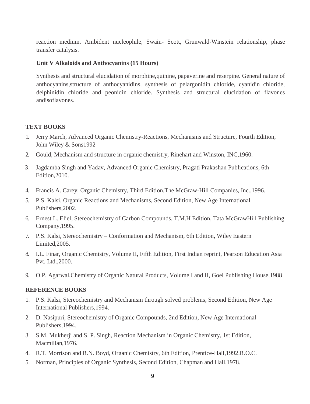reaction medium. Ambident nucleophile, Swain- Scott, Grunwald-Winstein relationship, phase transfer catalysis.

## **Unit V Alkaloids and Anthocyanins (15 Hours)**

Synthesis and structural elucidation of morphine,quinine, papaverine and reserpine. General nature of anthocyanins,structure of anthocyanidins, synthesis of pelargonidin chloride, cyanidin chloride, delphinidin chloride and peonidin chloride. Synthesis and structural elucidation of flavones andisoflavones.

### **TEXT BOOKS**

- 1. Jerry March, Advanced Organic Chemistry-Reactions, Mechanisms and Structure, Fourth Edition, John Wiley & Sons1992
- 2. Gould, Mechanism and structure in organic chemistry, Rinehart and Winston, INC,1960.
- 3. Jagdamba Singh and Yadav, Advanced Organic Chemistry, Pragati Prakashan Publications, 6th Edition,2010.
- 4. Francis A. Carey, Organic Chemistry, Third Edition,The McGraw-Hill Companies, Inc.,1996.
- 5. P.S. Kalsi, Organic Reactions and Mechanisms, Second Edition, New Age International Publishers,2002.
- 6. Ernest L. Eliel, Stereochemistry of Carbon Compounds, T.M.H Edition, Tata McGrawHill Publishing Company,1995.
- 7. P.S. Kalsi, Stereochemistry Conformation and Mechanism, 6th Edition, Wiley Eastern Limited,2005.
- 8. I.L. Finar, Organic Chemistry, Volume II, Fifth Edition, First Indian reprint, Pearson Education Asia Pvt. Ltd.,2000.
- 9. O.P. Agarwal,Chemistry of Organic Natural Products, Volume I and II, Goel Publishing House,1988

- 1. P.S. Kalsi, Stereochemistry and Mechanism through solved problems, Second Edition, New Age International Publishers,1994.
- 2. D. Nasipuri, Stereochemistry of Organic Compounds, 2nd Edition, New Age International Publishers,1994.
- 3. S.M. Mukherji and S. P. Singh, Reaction Mechanism in Organic Chemistry, 1st Edition, Macmillan,1976.
- 4. R.T. Morrison and R.N. Boyd, Organic Chemistry, 6th Edition, Prentice-Hall,1992.R.O.C.
- 5. Norman, Principles of Organic Synthesis, Second Edition, Chapman and Hall,1978.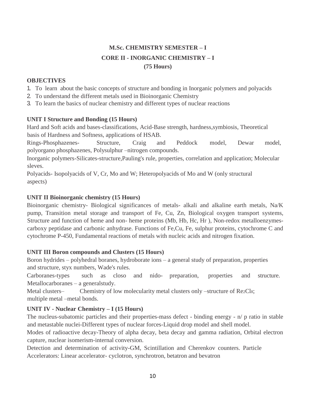## **M.Sc. CHEMISTRY SEMESTER – I CORE II - INORGANIC CHEMISTRY – I (75 Hours)**

## **OBJECTIVES**

- 1. To learn about the basic concepts of structure and bonding in Inorganic polymers and polyacids
- 2. To understand the different metals used in Bioinorganic Chemistry
- 3. To learn the basics of nuclear chemistry and different types of nuclear reactions

## **UNIT I Structure and Bonding (15 Hours)**

Hard and Soft acids and bases-classifications, Acid-Base strength, hardness,symbiosis, Theoretical basis of Hardness and Softness, applications of HSAB.

Rings-Phosphazenes- Structure, Craig and Peddock model, Dewar model, polyorgano phosphazenes, Polysulphur –nitrogen compounds.

Inorganic polymers-Silicates-structure,Pauling's rule, properties, correlation and application; Molecular sleves.

Polyacids- Isopolyacids of V, Cr, Mo and W; Heteropolyacids of Mo and W (only structural aspects)

## **UNIT II Bioinorganic chemistry (15 Hours)**

Bioinorganic chemistry- Biological significances of metals- alkali and alkaline earth metals, Na/K pump, Transition metal storage and transport of Fe, Cu, Zn, Biological oxygen transport systems, Structure and function of heme and non- heme proteins (Mb, Hb, Hc, Hr ), Non-redox metalloenzymescarboxy peptidase and carbonic anhydrase. Functions of Fe,Cu, Fe, sulphur proteins, cytochrome C and cytochrome P-450, Fundamental reactions of metals with nucleic acids and nitrogen fixation.

## **UNIT III Boron compounds and Clusters (15 Hours)**

Boron hydrides – polyhedral boranes, hydroborate ions – a general study of preparation, properties and structure, styx numbers, Wade's rules.

Carboranes-types such as closo and nido- preparation, properties and structure. Metallocarboranes – a generalstudy.

Metal clusters– Chemistry of low molecularity metal clusters only –structure of  $Re<sub>2</sub>Cl<sub>8</sub>$ ; multiple metal –metal bonds.

## **UNIT IV - Nuclear Chemistry – I (15 Hours)**

The nucleus-subatomic particles and their properties-mass defect - binding energy - n/ p ratio in stable and metastable nuclei-Different types of nuclear forces-Liquid drop model and shell model.

Modes of radioactive decay-Theory of alpha decay, beta decay and gamma radiation, Orbital electron capture, nuclear isomerism-internal conversion.

Detection and determination of activity-GM, Scintillation and Cherenkov counters. Particle Accelerators: Linear accelerator- cyclotron, synchrotron, betatron and bevatron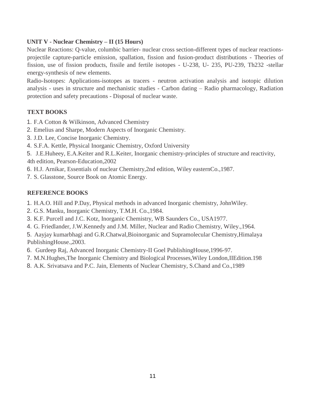## **UNIT V - Nuclear Chemistry – II (15 Hours)**

Nuclear Reactions: Q-value, columbic barrier- nuclear cross section-different types of nuclear reactionsprojectile capture-particle emission, spallation, fission and fusion-product distributions - Theories of fission, use of fission products, fissile and fertile isotopes - U-238, U- 235, PU-239, Th232 -stellar energy-synthesis of new elements.

Radio-Isotopes: Applications-isotopes as tracers - neutron activation analysis and isotopic dilution analysis - uses in structure and mechanistic studies - Carbon dating – Radio pharmacology, Radiation protection and safety precautions - Disposal of nuclear waste.

## **TEXT BOOKS**

- 1. F.A Cotton & Wilkinson, Advanced Chemistry
- 2. Emelius and Sharpe, Modern Aspects of Inorganic Chemistry.
- 3. J.D. Lee, Concise Inorganic Chemistry.
- 4. S.F.A. Kettle, Physical Inorganic Chemistry, Oxford University

5. J.E.Huheey, E.A.Keiter and R.L.Keiter, Inorganic chemistry-principles of structure and reactivity, 4th edition, Pearson-Education,2002

- 6. H.J. Arnikar, Essentials of nuclear Chemistry,2nd edition, Wiley easternCo.,1987.
- 7. S. Glasstone, Source Book on Atomic Energy.

## **REFERENCE BOOKS**

- 1. H.A.O. Hill and P.Day, Physical methods in advanced Inorganic chemistry, JohnWiley.
- 2. G.S. Manku, Inorganic Chemistry, T.M.H. Co.,1984.
- 3. K.F. Purcell and J.C. Kotz, Inorganic Chemistry, WB Saunders Co., USA1977.
- 4. G. Friedlander, J.W.Kennedy and J.M. Miller, Nuclear and Radio Chemistry, Wiley.,1964.

5. Aayjay kumarbhagi and G.R.Chatwal,Bioinorganic and Supramolecular Chemistry,Himalaya PublishingHouse.,2003.

- 6. Gurdeep Raj, Advanced Inorganic Chemistry-II Goel PublishingHouse,1996-97.
- 7. M.N.Hughes,The Inorganic Chemistry and Biological Processes,Wiley London,IIEdition.198
- 8. A.K. Srivatsava and P.C. Jain, Elements of Nuclear Chemistry, S.Chand and Co.,1989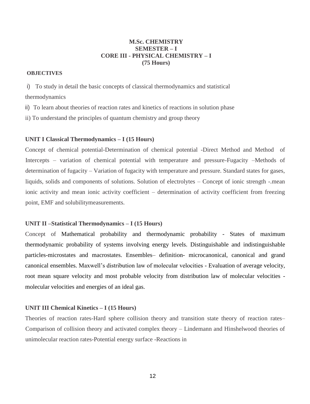## **M.Sc. CHEMISTRY SEMESTER – I CORE III - PHYSICAL CHEMISTRY – I (75 Hours)**

### **OBJECTIVES**

i) To study in detail the basic concepts of classical thermodynamics and statistical thermodynamics

ii) To learn about theories of reaction rates and kinetics of reactions in solution phase

ii) To understand the principles of quantum chemistry and group theory

### **UNIT I Classical Thermodynamics – I (15 Hours)**

Concept of chemical potential-Determination of chemical potential -Direct Method and Method of Intercepts – variation of chemical potential with temperature and pressure-Fugacity –Methods of determination of fugacity – Variation of fugacity with temperature and pressure. Standard states for gases, liquids, solids and components of solutions. Solution of electrolytes – Concept of ionic strength -.mean ionic activity and mean ionic activity coefficient – determination of activity coefficient from freezing point, EMF and solubilitymeasurements.

### **UNIT II –Statistical Thermodynamics – I (15 Hours)**

Concept of Mathematical probability and thermodynamic probability - States of maximum thermodynamic probability of systems involving energy levels. Distinguishable and indistinguishable particles-microstates and macrostates. Ensembles– definition- microcanonical, canonical and grand canonical ensembles. Maxwell's distribution law of molecular velocities - Evaluation of average velocity, root mean square velocity and most probable velocity from distribution law of molecular velocities molecular velocities and energies of an ideal gas.

### **UNIT III Chemical Kinetics – I (15 Hours)**

Theories of reaction rates-Hard sphere collision theory and transition state theory of reaction rates– Comparison of collision theory and activated complex theory – Lindemann and Hinshelwood theories of unimolecular reaction rates-Potential energy surface -Reactions in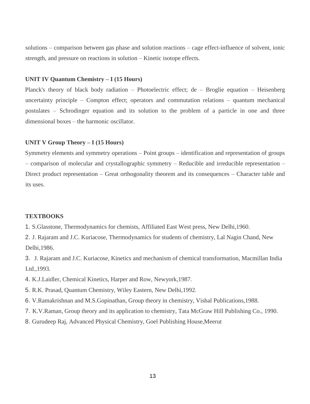solutions – comparison between gas phase and solution reactions – cage effect-influence of solvent, ionic strength, and pressure on reactions in solution – Kinetic isotope effects.

### **UNIT IV Quantum Chemistry – I (15 Hours)**

Planck's theory of black body radiation – Photoelectric effect; de – Broglie equation – Heisenberg uncertainty principle – Compton effect; operators and commutation relations – quantum mechanical postulates – Schrodinger equation and its solution to the problem of a particle in one and three dimensional boxes – the harmonic oscillator.

### **UNIT V Group Theory – I (15 Hours)**

Symmetry elements and symmetry operations – Point groups – identification and representation of groups – comparison of molecular and crystallographic symmetry – Reducible and irreducible representation – Direct product representation – Great orthogonality theorem and its consequences – Character table and its uses.

### **TEXTBOOKS**

1. S.Glasstone, Thermodynamics for chemists, Affiliated East West press, New Delhi,1960.

2. J. Rajaram and J.C. Kuriacose, Thermodynamics for students of chemistry, Lal Nagin Chand, New Delhi,1986.

3. J. Rajaram and J.C. Kuriacose, Kinetics and mechanism of chemical transformation, Macmillan India Ltd.,1993.

- 4. K.J.Laidler, Chemical Kinetics, Harper and Row, Newyork,1987.
- 5. R.K. Prasad, Quantum Chemistry, Wiley Eastern, New Delhi,1992.
- 6. V.Ramakrishnan and M.S.Gopinathan, Group theory in chemistry, Vishal Publications,1988.
- 7. K.V.Raman, Group theory and its application to chemistry, Tata McGraw Hill Publishing Co., 1990.
- 8. Gurudeep Raj, Advanced Physical Chemistry, Goel Publishing House,Meerut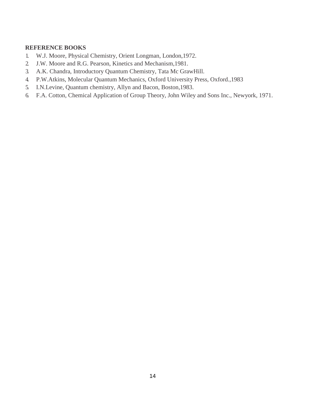- 1. W.J. Moore, Physical Chemistry, Orient Longman, London,1972.
- 2. J.W. Moore and R.G. Pearson, Kinetics and Mechanism,1981.
- 3. A.K. Chandra, Introductory Quantum Chemistry, Tata Mc GrawHill.
- 4. P.W.Atkins, Molecular Quantum Mechanics, Oxford University Press, Oxford.,1983
- 5. I.N.Levine, Quantum chemistry, Allyn and Bacon, Boston,1983.
- 6. F.A. Cotton, Chemical Application of Group Theory, John Wiley and Sons Inc., Newyork, 1971.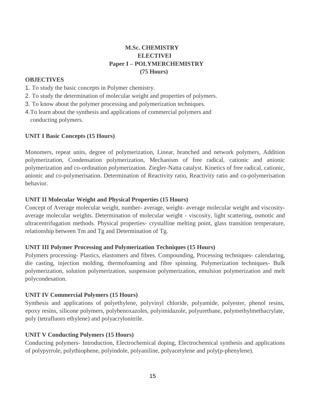## **M.Sc. CHEMISTRY ELECTIVEI Paper I – POLYMERCHEMISTRY (75 Hours)**

## **OBJECTIVES**

- 1. To study the basic concepts in Polymer chemistry.
- 2. To study the determination of molecular weight and properties of polymers.
- 3. To know about the polymer processing and polymerization techniques.
- 4.To learn about the synthesis and applications of commercial polymers and conducting polymers.

## **UNIT I Basic Concepts (15 Hours)**

Monomers, repeat units, degree of polymerization, Linear, branched and network polymers, Addition polymerization, Condensation polymerization, Mechanism of free radical, cationic and anionic polymerization and co-ordination polymerization. Ziegler-Natta catalyst. Kinetics of free radical, cationic, anionic and co-polymerisation. Determination of Reactivity ratio, Reactivity ratio and co-polymerisation behavior.

## **UNIT II Molecular Weight and Physical Properties (15 Hours)**

Concept of Average molecular weight, number- average, weight- average molecular weight and viscosityaverage molecular weights. Determination of molecular weight - viscosity, light scattering, osmotic and ultracentrifugation methods. Physical properties- crystalline melting point, glass transition temperature, relationship between Tm and Tg and Determination of Tg.

## **UNIT III Polymer Processing and Polymerization Techniques (15 Hours)**

Polymers processing- Plastics, elastomers and fibres. Compounding, Processing techniques- calendaring, die casting, injection molding, thermofoaming and fibre spinning. Polymerization techniques- Bulk polymerization, solution polymerization, suspension polymerization, emulsion polymerization and melt polycondesation.

## **UNIT IV Commercial Polymers (15 Hours)**

Synthesis and applications of polyethylene, polyvinyl chloride, polyamide, polyester, phenol resins, epoxy resins, silicone polymers, polybenoxazoles, polyimidazole, polyurethane, polymethylmethacrylate, poly (tetrafluoro ethylene) and polyacrylonitrile.

## **UNIT V Conducting Polymers (15 Hours)**

Conducting polymers- Introduction, Electrochemical doping, Electrochemical synthesis and applications of polypyrrole, polythiophene, polyindole, polyaniline, polyacetylene and poly(p-phenylene).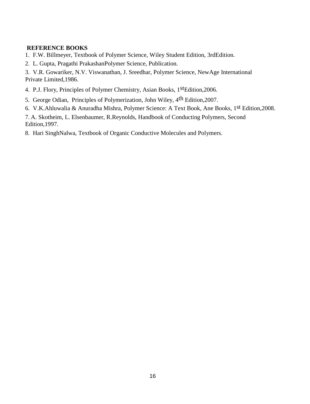## **REFERENCE BOOKS**

- 1. F.W. Billmeyer, Textbook of Polymer Science, Wiley Student Edition, 3rdEdition.
- 2. L. Gupta, Pragathi PrakashanPolymer Science, Publication.

3. V.R. Gowariker, N.V. Viswanathan, J. Sreedhar, Polymer Science, NewAge International Private Limited,1986.

- 4. P.J. Flory, Principles of Polymer Chemistry, Asian Books, 1<sup>st</sup>Edition, 2006.
- 5. George Odian, Principles of Polymerization, John Wiley, 4th Edition,2007.
- 6. V.K.Ahluwalia & Anuradha Mishra, Polymer Science: A Text Book, Ane Books, 1st Edition,2008.

7. A. Skotheim, L. Elsenbaumer, R.Reynolds, Handbook of Conducting Polymers, Second Edition,1997.

8. Hari SinghNalwa, Textbook of Organic Conductive Molecules and Polymers.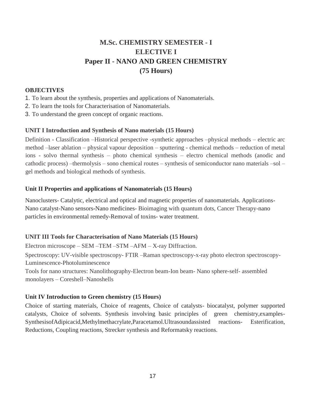## **M.Sc. CHEMISTRY SEMESTER - I ELECTIVE I Paper II - NANO AND GREEN CHEMISTRY (75 Hours)**

## **OBJECTIVES**

- 1. To learn about the synthesis, properties and applications of Nanomaterials.
- 2. To learn the tools for Characterisation of Nanomaterials.
- 3. To understand the green concept of organic reactions.

## **UNIT I Introduction and Synthesis of Nano materials (15 Hours)**

Definition - Classification –Historical perspective -synthetic approaches –physical methods – electric arc method –laser ablation – physical vapour deposition – sputtering - chemical methods – reduction of metal ions - solvo thermal synthesis – photo chemical synthesis – electro chemical methods (anodic and cathodic process) –thermolysis – sono chemical routes – synthesis of semiconductor nano materials –sol – gel methods and biological methods of synthesis.

## **Unit II Properties and applications of Nanomaterials (15 Hours)**

Nanoclusters- Catalytic, electrical and optical and magnetic properties of nanomaterials. Applications-Nano catalyst-Nano sensors-Nano medicines- Bioimaging with quantum dots, Cancer Therapy-nano particles in environmental remedy-Removal of toxins- water treatment.

## **UNIT III Tools for Characterisation of Nano Materials (15 Hours)**

Electron microscope – SEM –TEM –STM –AFM – X-ray Diffraction.

Spectroscopy: UV-visible spectroscopy- FTIR –Raman spectroscopy-x-ray photo electron spectroscopy-Luminescence-Photoluminescence

Tools for nano structures: Nanolithography-Electron beam-Ion beam- Nano sphere-self- assembled monolayers – Coreshell–Nanoshells

## **Unit IV Introduction to Green chemistry (15 Hours)**

Choice of starting materials, Choice of reagents, Choice of catalysts- biocatalyst, polymer supported catalysts, Choice of solvents. Synthesis involving basic principles of green chemistry,examples-SynthesisofAdipicacid,Methylmethacrylate,Paracetamol.Ultrasoundassisted reactions- Esterification, Reductions, Coupling reactions, Strecker synthesis and Reformatsky reactions.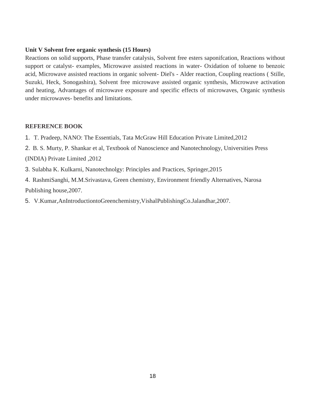## **Unit V Solvent free organic synthesis (15 Hours)**

Reactions on solid supports, Phase transfer catalysis, Solvent free esters saponifcation, Reactions without support or catalyst- examples, Microwave assisted reactions in water- Oxidation of toluene to benzoic acid, Microwave assisted reactions in organic solvent- Diel's - Alder reaction, Coupling reactions ( Stille, Suzuki, Heck, Sonogashira), Solvent free microwave assisted organic synthesis, Microwave activation and heating, Advantages of microwave exposure and specific effects of microwaves, Organic synthesis under microwaves- benefits and limitations.

- 1. T. Pradeep, NANO: The Essentials, Tata McGraw Hill Education Private Limited,2012
- 2. B. S. Murty, P. Shankar et al, Textbook of Nanoscience and Nanotechnology, Universities Press (INDIA) Private Limited ,2012
- 3. Sulabha K. Kulkarni, Nanotechnolgy: Principles and Practices, Springer,2015
- 4. RashmiSanghi, M.M.Srivastava, Green chemistry, Environment friendly Alternatives, Narosa Publishing house,2007.
- 5. V.Kumar,AnIntroductiontoGreenchemistry,VishalPublishingCo.Jalandhar,2007.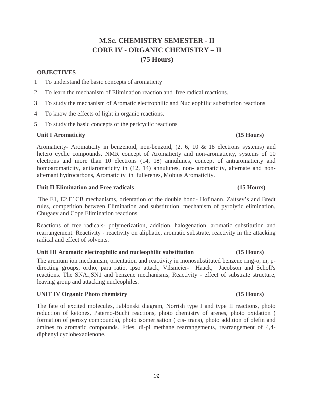## **M.Sc. CHEMISTRY SEMESTER - II CORE IV - ORGANIC CHEMISTRY – II (75 Hours)**

## **OBJECTIVES**

- 1 To understand the basic concepts of aromaticity
- 2 To learn the mechanism of Elimination reaction and free radical reactions.
- 3 To study the mechanism of Aromatic electrophilic and Nucleophilic substitution reactions
- 4 To know the effects of light in organic reactions.
- 5 To study the basic concepts of the pericyclic reactions

## Unit I Aromaticity (15 Hours)

Aromaticity- Aromaticity in benzenoid, non-benzoid, (2, 6, 10 & 18 electrons systems) and hetero cyclic compounds. NMR concept of Aromaticity and non-aromaticity, systems of 10 electrons and more than 10 electrons (14, 18) annulunes, concept of antiaromaticity and homoaromaticity, antiaromaticity in  $(12, 14)$  annulunes, non- aromaticity, alternate and nonalternant hydrocarbons, Aromaticity in fullerenes, Mobius Aromaticity.

## **Unit II Elimination and Free radicals (15 Hours)**

The E1, E2,E1CB mechanisms, orientation of the double bond- Hofmann, Zaitsev's and Bredt rules, competition between Elimination and substitution, mechanism of pyrolytic elimination, Chugaev and Cope Elimination reactions.

Reactions of free radicals- polymerization, addition, halogenation, aromatic substitution and rearrangement. Reactivity - reactivity on aliphatic, aromatic substrate, reactivity in the attacking radical and effect of solvents.

## **Unit III Aromatic electrophilic and nucleophilic substitution (15 Hours)**

The arenium ion mechanism, orientation and reactivity in monosubstituted benzene ring-o, m, pdirecting groups, ortho, para ratio, ipso attack, Vilsmeier- Haack, Jacobson and Scholl's reactions. The SNAr,SN1 and benzene mechanisms, Reactivity - effect of substrate structure, leaving group and attacking nucleophiles.

## **UNIT IV Organic Photo chemistry (15 Hours)**

The fate of excited molecules, Jablonski diagram, Norrish type I and type II reactions, photo reduction of ketones, Paterno-Buchi reactions, photo chemistry of arenes, photo oxidation ( formation of peroxy compounds), photo isomerisation ( cis- trans), photo addition of olefin and amines to aromatic compounds. Fries, di-pi methane rearrangements, rearrangement of 4,4 diphenyl cyclohexadienone.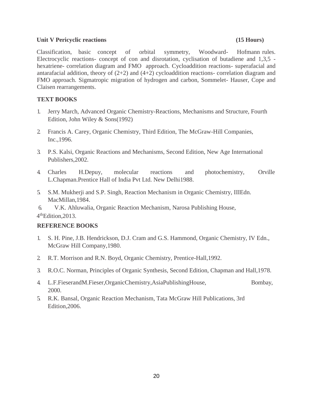## **Unit V Pericyclic reactions (15 Hours)**

Classification, basic concept of orbital symmetry, Woodward- Hofmann rules. Electrocyclic reactions- concept of con and disrotation, cyclisation of butadiene and 1,3,5 hexatriene- correlation diagram and FMO approach. Cycloaddition reactions- superafacial and antarafacial addition, theory of  $(2+2)$  and  $(4+2)$  cycloaddition reactions- correlation diagram and FMO approach. Sigmatropic migration of hydrogen and carbon, Sommelet- Hauser, Cope and Claisen rearrangements.

## **TEXT BOOKS**

- 1. Jerry March, Advanced Organic Chemistry-Reactions, Mechanisms and Structure, Fourth Edition, John Wiley & Sons(1992)
- 2. Francis A. Carey, Organic Chemistry, Third Edition, The McGraw-Hill Companies, Inc.,1996.
- 3. P.S. Kalsi, Organic Reactions and Mechanisms, Second Edition, New Age International Publishers,2002.
- 4. Charles H.Depuy, molecular reactions and photochemistry, Orville L.Chapman.Prentice Hall of India Pvt Ltd. New Delhi1988.
- 5. S.M. Mukherji and S.P. Singh, Reaction Mechanism in Organic Chemistry, IIIEdn. MacMillan,1984.
- 6. V.K. Ahluwalia, Organic Reaction Mechanism, Narosa Publishing House, 4 thEdition,2013.

- 1. S. H. Pine, J.B. Hendrickson, D.J. Cram and G.S. Hammond, Organic Chemistry, IV Edn., McGraw Hill Company,1980.
- 2. R.T. Morrison and R.N. Boyd, Organic Chemistry, Prentice-Hall,1992.
- 3. R.O.C. Norman, Principles of Organic Synthesis, Second Edition, Chapman and Hall,1978.
- 4. L.F.FieserandM.Fieser,OrganicChemistry,AsiaPublishingHouse, Bombay, 2000.
- 5. R.K. Bansal, Organic Reaction Mechanism, Tata McGraw Hill Publications, 3rd Edition,2006.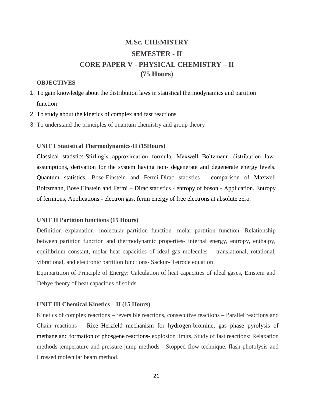## **M.Sc. CHEMISTRY SEMESTER - II CORE PAPER V - PHYSICAL CHEMISTRY – II (75 Hours)**

### **OBJECTIVES**

- 1. To gain knowledge about the distribution laws in statistical thermodynamics and partition function
- 2. To study about the kinetics of complex and fast reactions
- 3. To understand the principles of quantum chemistry and group theory

### **UNIT I Statistical Thermodynamics-II (15Hours)**

Classical statistics-Stirling's approximation formula, Maxwell Boltzmann distribution lawassumptions, derivation for the system having non- degenerate and degenerate energy levels. Quantum statistics: Bose-Einstein and Fermi-Dirac statistics - comparison of Maxwell Boltzmann, Bose Einstein and Fermi – Dirac statistics - entropy of boson - Application. Entropy of fermions, Applications - electron gas, fermi energy of free electrons at absolute zero.

### **UNIT II Partition functions (15 Hours)**

Definition explanation- molecular partition function- molar partition function- Relationship between partition function and thermodynamic properties- internal energy, entropy, enthalpy, equilibrium constant, molar heat capacities of ideal gas molecules – translational, rotational, vibrational, and electronic partition functions- Sackur- Tetrode equation

Equipartition of Principle of Energy: Calculation of heat capacities of ideal gases, Einstein and Debye theory of heat capacities of solids.

### **UNIT III Chemical Kinetics – II (15 Hours)**

Kinetics of complex reactions – reversible reactions, consecutive reactions – Parallel reactions and Chain reactions – Rice–Herzfeld mechanism for hydrogen-bromine, gas phase pyrolysis of methane and formation of phosgene reactions- explosion limits. Study of fast reactions: Relaxation methods-temperature and pressure jump methods - Stopped flow technique, flash photolysis and Crossed molecular beam method.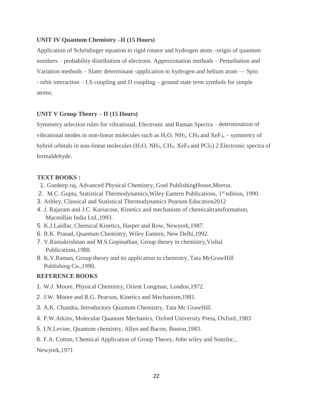## **UNIT IV Quantum Chemistry –II (15 Hours)**

Application of Schrödinger equation to rigid rotator and hydrogen atom –origin of quantum numbers – probability distribution of electrons. Approximation methods – Perturbation and Variation methods – Slater determinant -application to hydrogen and helium atom  $-$  Spin - orbit interaction – LS coupling and JJ coupling – ground state term symbols for simple atoms.

## **UNIT V Group Theory – II (15 Hours)**

Symmetry selection rules for vibrational, Electronic and Raman Spectra – determination of vibrational modes in non-linear molecules such as  $H_2O$ ,  $NH_3$ ,  $CH_4$  and  $XeF_4$ , – symmetry of hybrid orbitals in non-linear molecules (H<sub>2</sub>O, NH<sub>3</sub>, CH<sub>4</sub>, XeF<sub>4</sub> and PCl<sub>5</sub>) 2 Electronic spectra of formaldehyde.

## **TEXT BOOKS :**

- 1. Gurdeep raj, Advanced Physical Chemistry, Goel PublishingHouse,Meerut.
- 2. M.C. Gupta, Statistical Thermodynamics, Wiley Eastern Publications, 1<sup>st</sup> edition, 1990.
- 3. Ashley, Classical and Statistical Thermodynamics Pearson Education2012
- 4. J. Rajaram and J.C. Kuriacose, Kinetics and mechanism of chemicaltransformation, Macmillan India Ltd.,1993.
- 5. K.J.Laidlar, Chemical Kinetics, Harper and Row, Newyork,1987.
- 6. R.K. Prasad, Quantum Chemistry, Wiley Eastern, New Delhi,1992.
- 7. V.Ramakrishnan and M.S.Gopinathan, Group theory in chemistry,Vishal Publications,1988.
- 8. K.V.Raman, Group theory and its application to chemistry, Tata McGrawHill Publishing Co.,1990.

## **REFERENCE BOOKS**

- 1. W.J. Moore, Physical Chemistry, Orient Longman, London,1972.
- 2. J.W. Moore and R.G. Pearson, Kinetics and Mechanism,1981.
- 3. A.K. Chandra, Introductory Quantum Chemistry, Tata Mc GrawHill.
- 4. P.W.Atkins, Molecular Quantum Mechanics, Oxford University Press, Oxford.,1983
- 5. I.N.Levine, Quantum chemistry, Allyn and Bacon, Boston,1983.
- 6. F.A. Cotton, Chemical Application of Group Theory, John wiley and SonsInc.,

Newyork,1971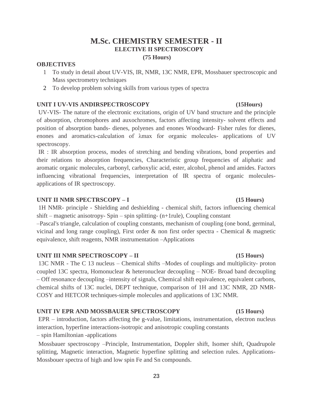## **M.Sc. CHEMISTRY SEMESTER - II ELECTIVE II SPECTROSCOPY (75 Hours)**

## **OBJECTIVES**

- 1 To study in detail about UV-VIS, IR, NMR, 13C NMR, EPR, Mossbauer spectroscopic and Mass spectrometry techniques
- 2 To develop problem solving skills from various types of spectra

### **UNIT I UV-VIS ANDIRSPECTROSCOPY (15Hours)**

UV-VIS- The nature of the electronic excitations, origin of UV band structure and the principle of absorption, chromophores and auxochromes, factors affecting intensity- solvent effects and position of absorption bands- dienes, polyenes and enones Woodward- Fisher rules for dienes, enones and aromatics-calculation of λmax for organic molecules- applications of UV spectroscopy.

IR : IR absorption process, modes of stretching and bending vibrations, bond properties and their relations to absorption frequencies, Characteristic group frequencies of aliphatic and aromatic organic molecules, carbonyl, carboxylic acid, ester, alcohol, phenol and amides. Factors influencing vibrational frequencies, interpretation of IR spectra of organic moleculesapplications of IR spectroscopy.

## **UNIT II NMR SPECTRSCOPY – I (15 Hours)**

1H NMR- principle - Shielding and deshielding - chemical shift, factors influencing chemical shift – magnetic anisotropy- Spin – spin splitting- (n+1rule), Coupling constant

–Pascal's triangle, calculation of coupling constants, mechanism of coupling (one bond, germinal, vicinal and long range coupling), First order & non first order spectra - Chemical & magnetic equivalence, shift reagents, NMR instrumentation –Applications

### **UNIT III NMR SPECTROSCOPY – II (15 Hours)**

13C NMR - The C 13 nucleus – Chemical shifts –Modes of couplings and multiplicity- proton coupled 13C spectra, Homonuclear & heteronuclear decoupling  $-$  NOE- Broad band decoupling – Off resonance decoupling –intensity of signals, Chemical shift equivalence, equivalent carbons, chemical shifts of 13C nuclei, DEPT technique, comparison of 1H and 13C NMR, 2D NMR-COSY and HETCOR techniques-simple molecules and applications of 13C NMR.

## **UNIT IV EPR AND MOSSBAUER SPECTROSCOPY (15 Hours)**

EPR – introduction, factors affecting the g-value, limitations, instrumentation, electron nucleus interaction, hyperfine interactions-isotropic and anisotropic coupling constants

– spin Hamiltonian -applications

Mossbauer spectroscopy –Principle, Instrumentation, Doppler shift, Isomer shift, Quadrupole splitting, Magnetic interaction, Magnetic hyperfine splitting and selection rules. Applications-Mossbouer spectra of high and low spin Fe and Sn compounds.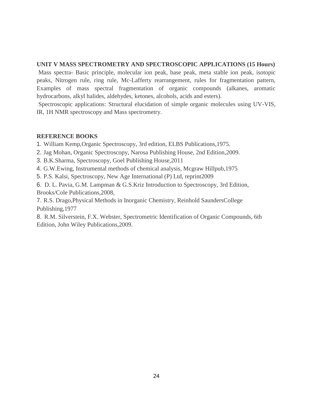## **UNIT V MASS SPECTROMETRY AND SPECTROSCOPIC APPLICATIONS (15 Hours)**

Mass spectra- Basic principle, molecular ion peak, base peak, meta stable ion peak, isotopic peaks, Nitrogen rule, ring rule, Mc-Lafferty rearrangement, rules for fragmentation pattern, Examples of mass spectral fragmentation of organic compounds (alkanes, aromatic hydrocarbons, alkyl halides, aldehydes, ketones, alcohols, acids and esters).

Spectroscopic applications: Structural elucidation of simple organic molecules using UV-VIS, IR, 1H NMR spectroscopy and Mass spectrometry.

## **REFERENCE BOOKS**

1. William Kemp,Organic Spectroscopy, 3rd edition, ELBS Publications,1975.

- 2. Jag Mohan, Organic Spectroscopy, Narosa Publishing House, 2nd Edition,2009.
- 3. B.K.Sharma, Spectroscopy, Goel Publishing House,2011
- 4. G.W.Ewing, Instrumental methods of chemical analysis, Mcgraw Hillpub,1975
- 5. P.S. Kalsi, Spectroscopy, New Age International (P) Ltd, reprint2009

6. D. L. Pavia, G.M. Lampman & G.S.Kriz Introduction to Spectroscopy, 3rd Edition, Brooks/Cole Publications,2008,

7. R.S. Drago,Physical Methods in Inorganic Chemistry, Reinhold SaundersCollege Publishing,1977

8. R.M. Silverstein, F.X. Webster, Spectrometric Identification of Organic Compounds, 6th Edition, John Wiley Publications,2009.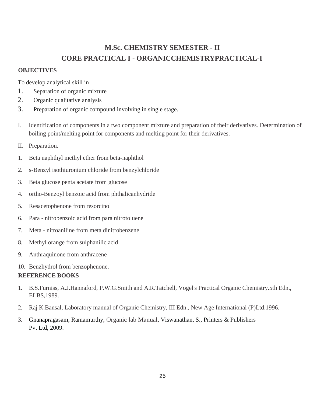## **M.Sc. CHEMISTRY SEMESTER - II CORE PRACTICAL I - ORGANICCHEMISTRYPRACTICAL-I**

## **OBJECTIVES**

To develop analytical skill in

- 1. Separation of organic mixture
- 2. Organic qualitative analysis
- 3. Preparation of organic compound involving in single stage.
- I. Identification of components in a two component mixture and preparation of their derivatives. Determination of boiling point/melting point for components and melting point for their derivatives.
- II. Preparation.
- 1. Beta naphthyl methyl ether from beta-naphthol
- 2. s-Benzyl isothiuronium chloride from benzylchloride
- 3. Beta glucose penta acetate from glucose
- 4. ortho-Benzoyl benzoic acid from phthalicanhydride
- 5. Resacetophenone from resorcinol
- 6. Para nitrobenzoic acid from para nitrotoluene
- 7. Meta nitroaniline from meta dinitrobenzene
- 8. Methyl orange from sulphanilic acid
- 9. Anthraquinone from anthracene
- 10. Benzhydrol from benzophenone.

- 1. B.S.Furniss, A.J.Hannaford, P.W.G.Smith and A.R.Tatchell, Vogel's Practical Organic Chemistry.5th Edn., ELBS,1989.
- 2. Raj K.Bansal, Laboratory manual of Organic Chemistry, III Edn., New Age International (P)Ltd.1996.
- 3. [Gnanapragasam,](https://www.amazon.in/s/ref=dp_byline_sr_book_1?ie=UTF8&field-author=Dr.+N.S.+Gnanpragasam&search-alias=stripbooks) Ramamurthy, Organic lab Manual, Viswanathan, S., Printers & Publishers Pvt Ltd, 2009.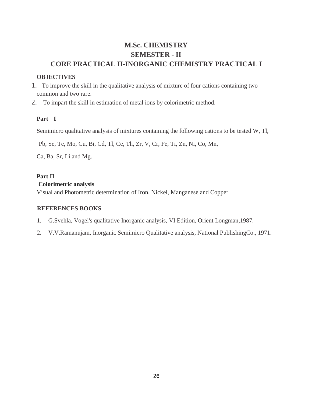## **M.Sc. CHEMISTRY SEMESTER - II CORE PRACTICAL II-INORGANIC CHEMISTRY PRACTICAL I**

## **OBJECTIVES**

- 1. To improve the skill in the qualitative analysis of mixture of four cations containing two common and two rare.
- 2. To impart the skill in estimation of metal ions by colorimetric method.

## **Part I**

Semimicro qualitative analysis of mixtures containing the following cations to be tested W, Tl,

Pb, Se, Te, Mo, Cu, Bi, Cd, Tl, Ce, Th, Zr, V, Cr, Fe, Ti, Zn, Ni, Co, Mn,

Ca, Ba, Sr, Li and Mg.

## **Part II**

## **Colorimetric analysis**

Visual and Photometric determination of Iron, Nickel, Manganese and Copper

- 1. G.Svehla, Vogel's qualitative Inorganic analysis, VI Edition, Orient Longman,1987.
- 2. V.V.Ramanujam, Inorganic Semimicro Qualitative analysis, National PublishingCo., 1971.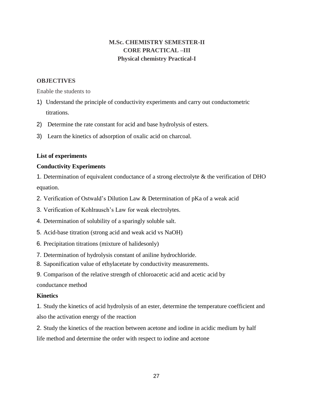## **M.Sc. CHEMISTRY SEMESTER-II CORE PRACTICAL –III Physical chemistry Practical-I**

## **OBJECTIVES**

Enable the students to

- 1) Understand the principle of conductivity experiments and carry out conductometric titrations.
- 2) Determine the rate constant for acid and base hydrolysis of esters.
- 3) Learn the kinetics of adsorption of oxalic acid on charcoal.

## **List of experiments**

## **Conductivity Experiments**

1. Determination of equivalent conductance of a strong electrolyte & the verification of DHO equation.

- 2. Verification of Ostwald's Dilution Law & Determination of pKa of a weak acid
- 3. Verification of Kohlrausch's Law for weak electrolytes.
- 4. Determination of solubility of a sparingly soluble salt.
- 5. Acid-base titration (strong acid and weak acid vs NaOH)
- 6. Precipitation titrations (mixture of halidesonly)
- 7. Determination of hydrolysis constant of aniline hydrochloride.
- 8. Saponification value of ethylacetate by conductivity measurements.
- 9. Comparison of the relative strength of chloroacetic acid and acetic acid by

conductance method

## **Kinetics**

1. Study the kinetics of acid hydrolysis of an ester, determine the temperature coefficient and also the activation energy of the reaction

2. Study the kinetics of the reaction between acetone and iodine in acidic medium by half life method and determine the order with respect to iodine and acetone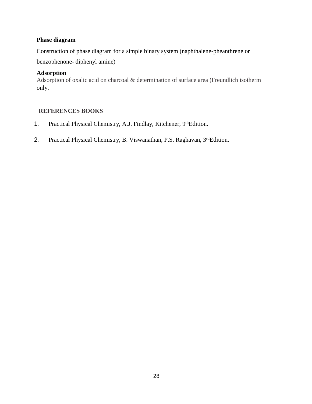## **Phase diagram**

Construction of phase diagram for a simple binary system (naphthalene-pheanthrene or benzophenone- diphenyl amine)

## **Adsorption**

Adsorption of oxalic acid on charcoal & determination of surface area (Freundlich isotherm only.

- 1. Practical Physical Chemistry, A.J. Findlay, Kitchener, 9thEdition.
- 2. Practical Physical Chemistry, B. Viswanathan, P.S. Raghavan, 3rdEdition.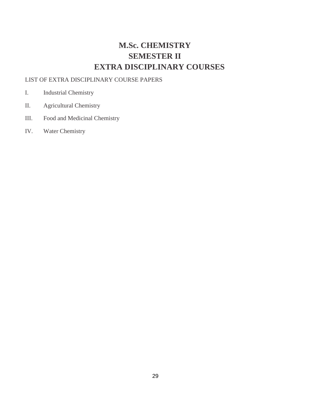# **M.Sc. CHEMISTRY SEMESTER II EXTRA DISCIPLINARY COURSES**

## LIST OF EXTRA DISCIPLINARY COURSE PAPERS

- I. Industrial Chemistry
- II. Agricultural Chemistry
- III. Food and Medicinal Chemistry
- IV. Water Chemistry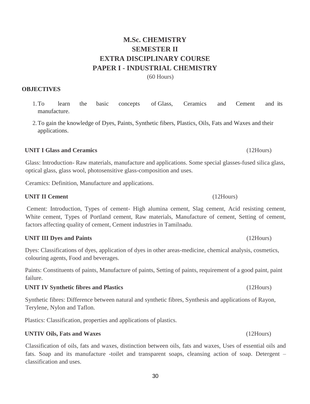## **M.Sc. CHEMISTRY SEMESTER II EXTRA DISCIPLINARY COURSE PAPER I - INDUSTRIAL CHEMISTRY**

(60 Hours)

## **OBJECTIVES**

- 1.To learn the basic concepts of Glass, Ceramics and Cement and its manufacture.
- 2.To gain the knowledge of Dyes, Paints, Synthetic fibers, Plastics, Oils, Fats and Waxes and their applications.

## **UNIT I Glass and Ceramics** (12Hours)

Glass: Introduction- Raw materials, manufacture and applications. Some special glasses-fused silica glass, optical glass, glass wool, photosensitive glass-composition and uses.

Ceramics: Definition, Manufacture and applications.

## **UNIT II Cement** (12Hours)

Cement: Introduction, Types of cement- High alumina cement, Slag cement, Acid resisting cement, White cement, Types of Portland cement, Raw materials, Manufacture of cement, Setting of cement, factors affecting quality of cement, Cement industries in Tamilnadu.

## **UNIT III Dyes and Paints** (12Hours)

Dyes: Classifications of dyes, application of dyes in other areas-medicine, chemical analysis, cosmetics, colouring agents, Food and beverages.

Paints: Constituents of paints, Manufacture of paints, Setting of paints, requirement of a good paint, paint failure.

## **UNIT IV Synthetic fibres and Plastics** (12Hours)

Synthetic fibres: Difference between natural and synthetic fibres, Synthesis and applications of Rayon, Terylene, Nylon and Taflon.

Plastics: Classification, properties and applications of plastics.

## **UNTIV Oils, Fats and Waxes** (12Hours)

Classification of oils, fats and waxes, distinction between oils, fats and waxes, Uses of essential oils and fats. Soap and its manufacture -toilet and transparent soaps, cleansing action of soap. Detergent – classification and uses.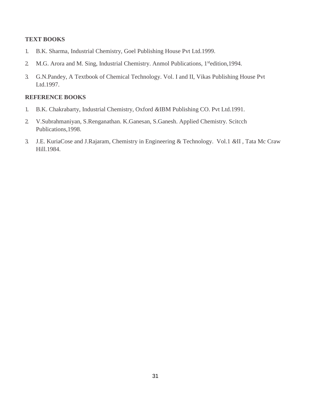## **TEXT BOOKS**

- 1. B.K. Sharma, Industrial Chemistry, Goel Publishing House Pvt Ltd.1999.
- 2. M.G. Arora and M. Sing, Industrial Chemistry. Anmol Publications, 1<sup>st</sup>edition,1994.
- 3. G.N.Pandey, A Textbook of Chemical Technology. Vol. I and II, Vikas Publishing House Pvt Ltd.1997.

- 1. B.K. Chakrabarty, Industrial Chemistry, Oxford *&*IBM Publishing CO. Pvt Ltd.1991.
- 2. V.Subrahmaniyan, S.Renganathan. K.Ganesan, S.Ganesh. Applied Chemistry. Scitcch Publications,1998.
- 3. J.E. KuriaCose and J.Rajaram, Chemistry in Engineering & Technology. Vol.1 *&*II , Tata Mc Craw Hill.1984.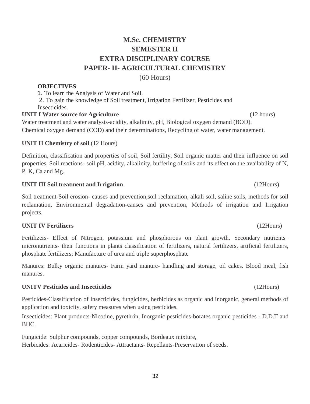## **M.Sc. CHEMISTRY SEMESTER II EXTRA DISCIPLINARY COURSE PAPER- II- AGRICULTURAL CHEMISTRY**

(60 Hours)

## **OBJECTIVES**

1. To learn the Analysis of Water and Soil.

2. To gain the knowledge of Soil treatment, Irrigation Fertilizer, Pesticides and Insecticides.

## **UNIT I Water source for Agriculture** (12 hours)

Water treatment and water analysis-acidity, alkalinity, pH, Biological oxygen demand (BOD). Chemical oxygen demand (COD) and their determinations, Recycling of water, water management.

## **UNIT II Chemistry of soil** (12 Hours)

Definition, classification and properties of soil, Soil fertility, Soil organic matter and their influence on soil properties, Soil reactions- soil pH, acidity, alkalinity, buffering of soils and its effect on the availability of N, P, K, Ca and Mg.

## **UNIT III Soil treatment and Irrigation** (12Hours)

Soil treatment-Soil erosion- causes and prevention,soil reclamation, alkali soil, saline soils, methods for soil reclamation, Environmental degradation-causes and prevention, Methods of irrigation and Irrigation projects.

## **UNIT IV Fertilizers** (12Hours)

Fertilizers- Effect of Nitrogen, potassium and phosphorous on plant growth. Secondary nutrients– micronutrients- their functions in plants classification of fertilizers, natural fertilizers, artificial fertilizers, phosphate fertilizers; Manufacture of urea and triple superphosphate

Manures: Bulky organic manures- Farm yard manure- handling and storage, oil cakes. Blood meal, fish manures.

## **UNITV Pesticides and Insecticides** (12Hours)

Pesticides-Classification of Insecticides, fungicides, herbicides as organic and inorganic, general methods of application and toxicity, safety measures when using pesticides.

Insecticides: Plant products-Nicotine, pyrethrin, Inorganic pesticides-borates organic pesticides - D.D.T and BHC.

Fungicide: Sulphur compounds, copper compounds, Bordeaux mixture, Herbicides: Acaricides- Rodenticides- Attractants- Repellants-Preservation of seeds.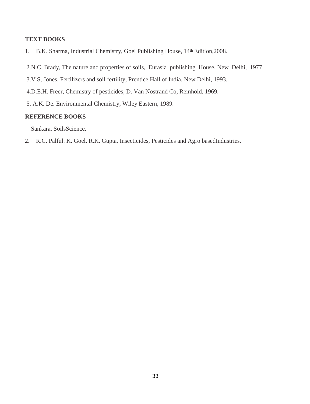## **TEXT BOOKS**

- 1. B.K. Sharma, Industrial Chemistry, Goel Publishing House, 14th Edition,2008.
- 2.N.C. Brady, The nature and properties of soils, Eurasia publishing House, New Delhi, 1977.
- 3.V.S, Jones. Fertilizers and soil fertility, Prentice Hall of India, New Delhi, 1993.
- 4.D.E.H. Freer, Chemistry of pesticides, D. Van Nostrand Co, Reinhold, 1969.
- 5. A.K. De. Environmental Chemistry, Wiley Eastern, 1989.

## **REFERENCE BOOKS**

Sankara. SoilsScience.

2. R.C. Palful. K. Goel. R.K. Gupta, Insecticides, Pesticides and Agro basedIndustries.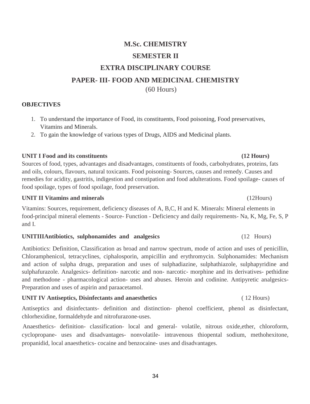# **M.Sc. CHEMISTRY SEMESTER II EXTRA DISCIPLINARY COURSE PAPER- III- FOOD AND MEDICINAL CHEMISTRY** (60 Hours)

## **OBJECTIVES**

- 1. To understand the importance of Food, its constituents, Food poisoning, Food preservatives, Vitamins and Minerals.
- 2. To gain the knowledge of various types of Drugs, AIDS and Medicinal plants.

**UNIT I Food and its constituents (12 Hours)**

Sources of food, types, advantages and disadvantages, constituents of foods, carbohydrates, proteins, fats and oils, colours, flavours, natural toxicants. Food poisoning- Sources, causes and remedy. Causes and remedies for acidity, gastritis, indigestion and constipation and food adulterations. Food spoilage- causes of food spoilage, types of food spoilage, food preservation.

## **UNIT II Vitamins and minerals** (12Hours)

Vitamins: Sources, requirement, deficiency diseases of A, B,C, H and K. Minerals: Mineral elements in food-principal mineral elements - Source- Function - Deficiency and daily requirements- Na, K, Mg, Fe, S, P and I.

## **UNITIIIAntibiotics, sulphonamides and analgesics** (12 Hours)

Antibiotics: Definition, Classification as broad and narrow spectrum, mode of action and uses of penicillin, Chloramphenicol, tetracyclines, ciphalosporin, ampicillin and erythromycin. Sulphonamides: Mechanism and action of sulpha drugs, preparation and uses of sulphadiazine, sulphathiazole, sulphapyridine and sulphafurazole. Analgesics- definition- narcotic and non- narcotic- morphine and its derivatives- pethidine and methodone - pharmacological action- uses and abuses. Heroin and codinine. Antipyretic analgesics-Preparation and uses of aspirin and paraacetamol.

## **UNIT IV Antiseptics, Disinfectants and anaesthetics** ( 12 Hours)

Antiseptics and disinfectants- definition and distinction- phenol coefficient, phenol as disinfectant, chlorhexidine, formaldehyde and nitrofurazone-uses.

Anaesthetics- definition- classification- local and general- volatile, nitrous oxide,ether, chloroform, cyclopropane- uses and disadvantages- nonvolatile- intravenous thiopental sodium, methohexitone, propanidid, local anaesthetics- cocaine and benzocaine- uses and disadvantages.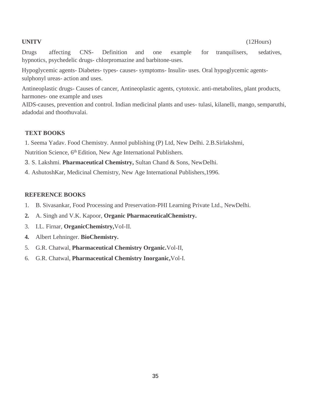Drugs affecting CNS- Definition and one example for tranquilisers, sedatives, hypnotics, psychedelic drugs- chlorpromazine and barbitone-uses.

Hypoglycemic agents- Diabetes- types- causes- symptoms- Insulin- uses. Oral hypoglycemic agentssulphonyl ureas- action and uses.

Antineoplastic drugs- Causes of cancer, Antineoplastic agents, cytotoxic. anti-metabolites, plant products, harmones- one example and uses

AIDS-causes, prevention and control. Indian medicinal plants and uses- tulasi, kilanelli, mango, semparuthi, adadodai and thoothuvalai.

## **TEXT BOOKS**

1. Seema Yadav. Food Chemistry. Anmol publishing (P) Ltd, New Delhi. 2.B.Sirlakshmi, Nutrition Science, 6<sup>th</sup> Edition, New Age International Publishers.

3. S. Lakshmi. **Pharmaceutical Chemistry,** Sultan Chand & Sons, NewDelhi.

4. AshutoshKar, Medicinal Chemistry, New Age International Publishers,1996.

- 1. B. Sivasankar, Food Processing and Preservation-PHI Learning Private Ltd., NewDelhi.
- **2.** A. Singh and V.K. Kapoor, **Organic PharmaceuticalChemistry.**
- 3. I.L. Firnar, **OrganicChemistry,**VoI-II.
- **4.** Albert Lehninger. **BioChemistry.**
- 5. G.R. Chatwal, **Pharmaceutical Chemistry Organic.**Vol-II,
- 6. G.R. Chatwal, **Pharmaceutical Chemistry Inorganic,**Vol-I.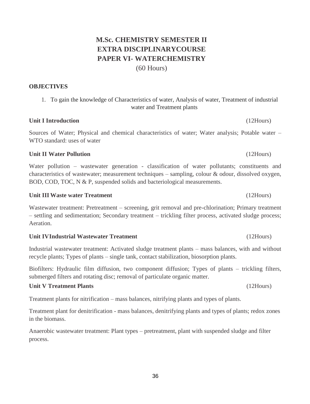## **M.Sc. CHEMISTRY SEMESTER II EXTRA DISCIPLINARYCOURSE PAPER VI- WATERCHEMISTRY** (60 Hours)

## **OBJECTIVES**

## 1. To gain the knowledge of Characteristics of water, Analysis of water, Treatment of industrial water and Treatment plants

## **Unit I Introduction** (12Hours)

Sources of Water; Physical and chemical characteristics of water; Water analysis; Potable water – WTO standard: uses of water

## **Unit II Water Pollution** (12Hours)

Water pollution – wastewater generation - classification of water pollutants; constituents and characteristics of wastewater; measurement techniques – sampling, colour & odour, dissolved oxygen, BOD, COD, TOC, N & P, suspended solids and bacteriological measurements.

## **Unit III Waste water Treatment** (12Hours)

Wastewater treatment: Pretreatment – screening, grit removal and pre-chlorination; Primary treatment – settling and sedimentation; Secondary treatment – trickling filter process, activated sludge process; Aeration.

## **Unit IVIndustrial Wastewater Treatment** (12Hours)

Industrial wastewater treatment: Activated sludge treatment plants – mass balances, with and without recycle plants; Types of plants – single tank, contact stabilization, biosorption plants.

Biofilters: Hydraulic film diffusion, two component diffusion; Types of plants – trickling filters, submerged filters and rotating disc; removal of particulate organic matter.

## **Unit V Treatment Plants** (12Hours)

Treatment plants for nitrification – mass balances, nitrifying plants and types of plants.

Treatment plant for denitrification - mass balances, denitrifying plants and types of plants; redox zones in the biomass.

Anaerobic wastewater treatment: Plant types – pretreatment, plant with suspended sludge and filter process.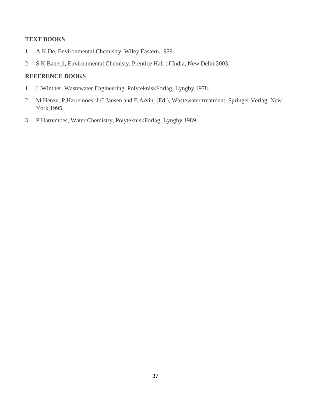## **TEXT BOOKS**

- 1. A.K.De, Environmental Chemistry, Wiley Eastern,1989.
- 2. S.K.Banerji, Environmental Chemisty, Prentice Hall of India, New Delhi,2003.

- 1. L.Winther, Wastewater Engineering, PolytekniskForlag, Lyngby,1978.
- 2. M.Henze, P.Harremoes, J.C.Jansen and E.Arvin, (Ed.), Wastewater treatment, Springer Verlag, New York,1995.
- 3. P.Harremoes, Water Chemistry, PolytekniskForlag, Lyngby,1989.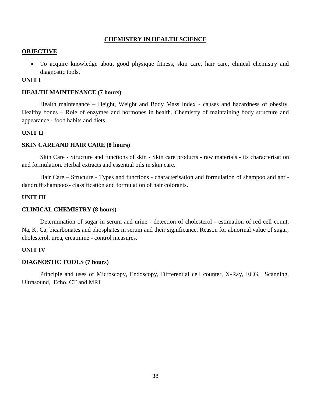## **CHEMISTRY IN HEALTH SCIENCE**

### **OBJECTIVE**

 To acquire knowledge about good physique fitness, skin care, hair care, clinical chemistry and diagnostic tools.

## **UNIT I**

### **HEALTH MAINTENANCE (7 hours)**

Health maintenance – Height, Weight and Body Mass Index - causes and hazardness of obesity. Healthy bones – Role of enzymes and hormones in health. Chemistry of maintaining body structure and appearance - food habits and diets.

## **UNIT II**

### **SKIN CAREAND HAIR CARE (8 hours)**

Skin Care - Structure and functions of skin - Skin care products - raw materials - its characterisation and formulation. Herbal extracts and essential oils in skin care.

Hair Care – Structure - Types and functions - characterisation and formulation of shampoo and antidandruff shampoos- classification and formulation of hair colorants.

## **UNIT III**

## **CLINICAL CHEMISTRY (8 hours)**

Determination of sugar in serum and urine - detection of cholesterol - estimation of red cell count, Na, K, Ca, bicarbonates and phosphates in serum and their significance. Reason for abnormal value of sugar, cholesterol, urea, creatinine - control measures.

## **UNIT IV**

### **DIAGNOSTIC TOOLS (7 hours)**

Principle and uses of Microscopy, Endoscopy, Differential cell counter, X-Ray, ECG, Scanning, Ultrasound, Echo, CT and MRI.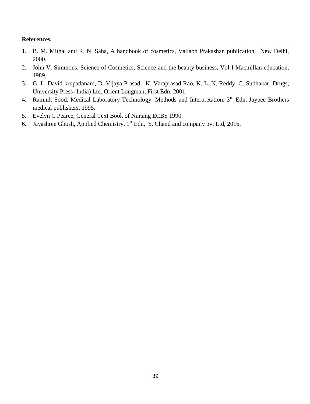## **References.**

- 1. B. M. Mithal and R. N. Saha, A handbook of cosmetics, Vallabh Prakashan publication, New Delhi, 2000.
- 2. John V. Simmons, Science of Cosmetics, Science and the beauty business, Vol-I Macmillan education, 1989.
- 3. G. L. David krupadanam, D. Vijaya Prasad, K. Varaprasad Rao, K. L. N. Reddy, C. Sudhakar, Drugs, University Press (India) Ltd, Orient Longman, First Edn, 2001.
- 4. Ramnik Sood, Medical Laboratory Technology: Methods and Interpretation, 3<sup>rd</sup> Edn, Jaypee Brothers medical publishers, 1995.
- 5. Evelyn C Pearce, General Text Book of Nursing ECBS 1990.
- 6. Jayashree Ghosh, Applied Chemistry,  $1<sup>st</sup>$  Edn, S. Chand and company pvt Ltd, 2016.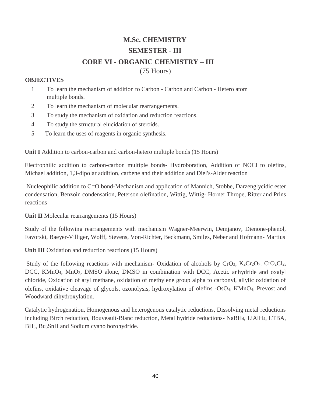## **M.Sc. CHEMISTRY SEMESTER - III CORE VI - ORGANIC CHEMISTRY – III** (75 Hours)

## **OBJECTIVES**

- 1 To learn the mechanism of addition to Carbon Carbon and Carbon Hetero atom multiple bonds.
- 2 To learn the mechanism of molecular rearrangements.
- 3 To study the mechanism of oxidation and reduction reactions.
- 4 To study the structural elucidation of steroids.
- 5 To learn the uses of reagents in organic synthesis.

**Unit I** Addition to carbon-carbon and carbon-hetero multiple bonds (15 Hours)

Electrophilic addition to carbon-carbon multiple bonds- Hydroboration, Addition of NOCl to olefins, Michael addition, 1,3-dipolar addition, carbene and their addition and Diel's-Alder reaction

Nucleophilic addition to C=O bond-Mechanism and application of Mannich, Stobbe, Darzenglycidic ester condensation, Benzoin condensation, Peterson olefination, Wittig, Wittig- Horner Thrope, Ritter and Prins reactions

**Unit II** Molecular rearrangements (15 Hours)

Study of the following rearrangements with mechanism Wagner-Meerwin, Demjanov, Dienone-phenol, Favorski, Baeyer-Villiger, Wolff, Stevens, Von-Richter, Beckmann, Smiles, Neber and Hofmann- Martius

**Unit III** Oxidation and reduction reactions (15 Hours)

Study of the following reactions with mechanism- Oxidation of alcohols by CrO<sub>3</sub>, K<sub>2</sub>Cr<sub>2</sub>O<sub>7</sub>, CrO<sub>2</sub>Cl<sub>2</sub>, DCC, KMnO<sub>4</sub>, MnO<sub>2</sub>, DMSO alone, DMSO in combination with DCC, Acetic anhydride and oxalyl chloride, Oxidation of aryl methane, oxidation of methylene group alpha to carbonyl, allylic oxidation of olefins, oxidative cleavage of glycols, ozonolysis, hydroxylation of olefins -OsO4, KMnO4, Prevost and Woodward dihydroxylation.

Catalytic hydrogenation, Homogenous and heterogenous catalytic reductions, Dissolving metal reductions including Birch reduction, Bouveault-Blanc reduction, Metal hydride reductions- NaBH4, LiAlH4, LTBA, BH3, Bu3SnH and Sodium cyano borohydride.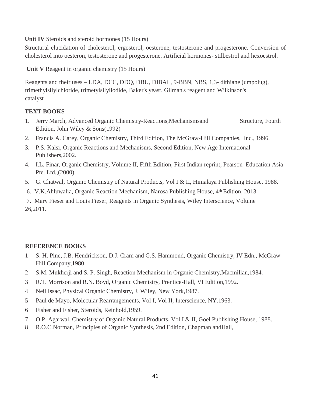**Unit IV** Steroids and steroid hormones (15 Hours)

Structural elucidation of cholesterol, ergosterol, oesterone, testosterone and progesterone. Conversion of cholesterol into oesteron, testosterone and progesterone. Artificial hormones- stilbestrol and hexoestrol.

Unit V Reagent in organic chemistry (15 Hours)

Reagents and their uses – LDA, DCC, DDQ, DBU, DIBAL, 9-BBN, NBS, 1,3- dithiane (umpolug), trimethylsilylchloride, trimetylsilyliodide, Baker's yeast, Gilman's reagent and Wilkinson's catalyst

## **TEXT BOOKS**

- 1. Jerry March, Advanced Organic Chemistry-Reactions,Mechanismsand Structure, Fourth Edition, John Wiley & Sons(1992)
- 2. Francis A. Carey, Organic Chemistry, Third Edition, The McGraw-Hill Companies, Inc., 1996.
- 3. P.S. Kalsi, Organic Reactions and Mechanisms, Second Edition, New Age International Publishers,2002.
- 4. I.L. Finar, Organic Chemistry, Volume II, Fifth Edition, First Indian reprint, Pearson Education Asia Pte. Ltd.,(2000)
- 5. G. Chatwal, Organic Chemistry of Natural Products, Vol I & II, Himalaya Publishing House, 1988.
- 6. V.K.Ahluwalia, Organic Reaction Mechanism, Narosa Publishing House, 4th Edition, 2013.

7. Mary Fieser and Louis Fieser, Reagents in Organic Synthesis, Wiley Interscience, Volume 26,2011.

- 1. S. H. Pine, J.B. Hendrickson, D.J. Cram and G.S. Hammond, Organic Chemistry, IV Edn., McGraw Hill Company,1980.
- 2. S.M. Mukherji and S. P. Singh, Reaction Mechanism in Organic Chemistry,Macmillan,1984.
- 3. R.T. Morrison and R.N. Boyd, Organic Chemistry, Prentice-Hall, VI Edition,1992.
- 4. Neil Issac, Physical Organic Chemistry, J. Wiley, New York,1987.
- 5. Paul de Mayo, Molecular Rearrangements, Vol I, Vol II, Interscience, NY.1963.
- 6. Fisher and Fisher, Steroids, Reinhold,1959.
- 7. O.P. Agarwal, Chemistry of Organic Natural Products, Vol I & II, Goel Publishing House, 1988.
- 8. R.O.C.Norman, Principles of Organic Synthesis, 2nd Edition, Chapman andHall,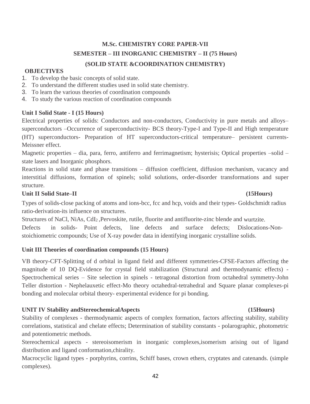## **M.Sc. CHEMISTRY CORE PAPER-VII SEMESTER – III INORGANIC CHEMISTRY – II (75 Hours) (SOLID STATE &COORDINATION CHEMISTRY)**

## **OBJECTIVES**

- 1. To develop the basic concepts of solid state.
- 2. To understand the different studies used in solid state chemistry.
- 3. To learn the various theories of coordination compounds
- 4. To study the various reaction of coordination compounds

## **Unit I Solid State - I (15 Hours)**

Electrical properties of solids: Conductors and non-conductors, Conductivity in pure metals and alloys– superconductors –Occurrence of superconductivity- BCS theory-Type-I and Type-II and High temperature (HT) superconductors- Preparation of HT superconductors-critical temperature– persistent currents-Meissner effect.

Magnetic properties – dia, para, ferro, antiferro and ferrimagnetism; hysterisis; Optical properties –solid – state lasers and Inorganic phosphors.

Reactions in solid state and phase transitions – diffusion coefficient, diffusion mechanism, vacancy and interstitial diffusions, formation of spinels; solid solutions, order-disorder transformations and super structure.

## **Unit II Solid State–II (15Hours)**

Types of solids-close packing of atoms and ions-bcc, fcc and hcp, voids and their types- Goldschmidt radius ratio-derivation-its influence on structures.

Structures of NaCl, NiAs, CdI2 ,Pervoskite, rutile, fluorite and antifluorite-zinc blende and wurtzite.

Defects in solids- Point defects, line defects and surface defects; Dislocations-Nonstoichiometric compounds; Use of X-ray powder data in identifying inorganic crystalline solids.

## **Unit III Theories of coordination compounds (15 Hours)**

VB theory-CFT-Splitting of d orbital in ligand field and different symmetries-CFSE-Factors affecting the magnitude of 10 DQ-Evidence for crystal field stabilization (Structural and thermodynamic effects) - Spectrochemical series – Site selection in spinels - tetragonal distortion from octahedral symmetry-John Teller distortion - Nephelauxetic effect-Mo theory octahedral-tetrahedral and Square planar complexes-pi bonding and molecular orbital theory- experimental evidence for pi bonding.

## **UNIT IV Stability andStereochemicalAspects (15Hours)**

Stability of complexes - thermodynamic aspects of complex formation, factors affecting stability, stability correlations, statistical and chelate effects; Determination of stability constants - polarographic, photometric and potentiometric methods.

Stereochemical aspects - stereoisomerism in inorganic complexes,isomerism arising out of ligand distribution and ligand conformation,chirality.

Macrocyclic ligand types - porphyrins, corrins, Schiff bases, crown ethers, cryptates and catenands. (simple complexes).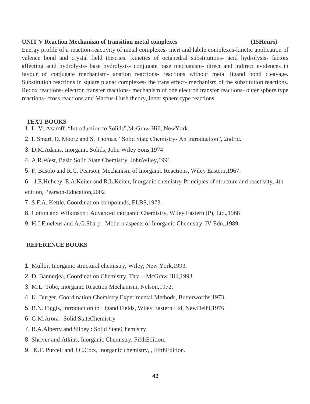### **UNIT V Reaction Mechanism of transition metal complexes (15Hours)**

Energy profile of a reaction-reactivity of metal complexes- inert and labile complexes-kinetic application of valence bond and crystal field theories. Kinetics of octahedral substitutions- acid hydrolysis- factors affecting acid hydrolysis- base hydrolysis- conjugate base mechanism- direct and indirect evidences in favour of conjugate mechanism- anation reactions- reactions without metal ligand bond cleavage. Substitution reactions in square planar complexes- the trans effect- mechanism of the substitution reactions. Redox reactions- electron transfer reactions- mechanism of one electron transfer reactions- outer sphere type reactions- cross reactions and Marcus-Hush theory, inner sphere type reactions.

## **TEXT BOOKS**

- 1. L. V. Azaroff, "Introduction to Solids",McGraw Hill, NewYork.
- 2. L.Smart, D. Moore and S. Thomas, "Solid State Chemistry- An Introduction", 2ndEd.
- 3. D.M.Adams, Inorganic Solids, John Wiley Sons,1974
- 4. A.R.West, Basic Solid State Chemistry, JohnWiley,1991.
- 5. F. Basolo and R.G. Pearson, Mechanism of Inorganic Reactions, Wiley Eastern,1967.
- 6. J.E.Huheey, E.A.Keiter and R.L.Keiter, Inorganic chemistry-Principles of structure and reactivity, 4th edition, Pearson-Education,2002
- 7. S.F.A. Kettle, Coordination compounds, ELBS,1973.
- 8. Cotton and Wilkinson : Advanced inorganic Chemistry, Wiley Eastern (P), Ltd.,1968
- 9. H.J.Emeleus and A.G.Sharp : Modern aspects of Inorganic Chemistry, IV Edn.,1989.

- 1. Mullor, Inorganic structural chemistry, Wiley, New York,1993.
- 2. D. Bannerjea, Coordination Chemistry, Tata McGraw Hill,1993.
- 3. M.L. Tobe, Inorganic Reaction Mechanism, Nelson,1972.
- 4. K. Burger, Coordination Chemistry Experimental Methods, Butterworths,1973.
- 5. B.N. Figgis, Introduction to Ligand Fields, Wiley Eastern Ltd, NewDelhi,1976.
- 6. G.M.Arora : Solid StateChemistry
- 7. R.A.Alberty and Silbey : Solid StateChemistry
- 8. Shriver and Atkins, Inorganic Chemistry, FifthEdition.
- 9. K.F. Purcell and J.C.Cotz, Inorganic chemistry, , FifthEdition.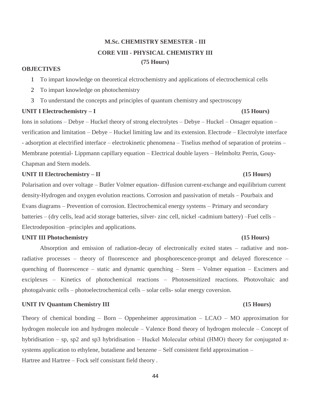## **M.Sc. CHEMISTRY SEMESTER - III CORE VIII - PHYSICAL CHEMISTRY III (75 Hours)**

### **OBJECTIVES**

1 To impart knowledge on theoretical elctrochemistry and applications of electrochemical cells

- 2 To impart knowledge on photochemistry
- 3 To understand the concepts and principles of quantum chemistry and spectroscopy

## **UNIT I Electrochemistry – I (15 Hours)**

Ions in solutions – Debye – Huckel theory of strong electrolytes – Debye – Huckel – Onsager equation – verification and limitation – Debye – Huckel limiting law and its extension. Electrode – Electrolyte interface - adsorption at electrified interface – electrokinetic phenomena – Tiselius method of separation of proteins – Membrane potential- Lippmann capillary equation – Electrical double layers – Helmholtz Perrin, Gouy-Chapman and Stern models.

## **UNIT II Electrochemistry – II (15 Hours)**

Polarisation and over voltage – Butler Volmer equation- diffusion current-exchange and equilibrium current density-Hydrogen and oxygen evolution reactions. Corrosion and passivation of metals – Pourbaix and Evans diagrams – Prevention of corrosion. Electrochemical energy systems – Primary and secondary batteries – (dry cells, lead acid storage batteries, silver- zinc cell, nickel -cadmium battery) –Fuel cells – Electrodeposition –principles and applications.

## **UNIT III Photochemistry (15 Hours)**

Absorption and emission of radiation-decay of electronically exited states – radiative and nonradiative processes – theory of fluorescence and phosphorescence-prompt and delayed florescence – quenching of fluorescence – static and dynamic quenching – Stern – Volmer equation – Excimers and exciplexes – Kinetics of photochemical reactions – Photosensitized reactions. Photovoltaic and photogalvanic cells – photoelectrochemical cells – solar cells- solar energy coversion.

## **UNIT IV Quantum Chemistry III (15 Hours)**

Theory of chemical bonding – Born – Oppenheimer approximation – LCAO – MO approximation for hydrogen molecule ion and hydrogen molecule – Valence Bond theory of hydrogen molecule – Concept of hybridisation – sp, sp2 and sp3 hybridisation – Huckel Molecular orbital (HMO) theory for conjugated πsystems application to ethylene, butadiene and benzene – Self consistent field approximation – Hartree and Hartree – Fock self consistant field theory .

### 44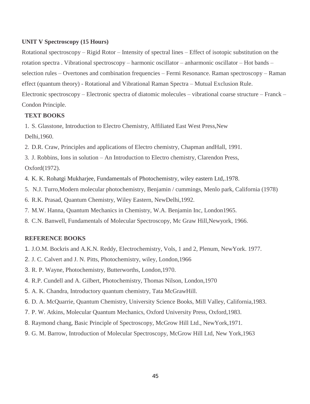## **UNIT V Spectroscopy (15 Hours)**

Rotational spectroscopy – Rigid Rotor – Intensity of spectral lines – Effect of isotopic substitution on the rotation spectra . Vibrational spectroscopy – harmonic oscillator – anharmonic oscillator – Hot bands – selection rules – Overtones and combination frequencies – Fermi Resonance. Raman spectroscopy – Raman effect (quantum theory) - Rotational and Vibrational Raman Spectra – Mutual Exclusion Rule. Electronic spectroscopy – Electronic spectra of diatomic molecules – vibrational coarse structure – Franck – Condon Principle.

## **TEXT BOOKS**

1. S. Glasstone, Introduction to Electro Chemistry, Affiliated East West Press,New Delhi,1960.

2. D.R. Craw, Principles and applications of Electro chemistry, Chapman andHall, 1991.

3. J. Robbins, Ions in solution – An Introduction to Electro chemistry, Clarendon Press, Oxford(1972).

- 4. K. K. Rohatgi Mukharjee, Fundamentals of Photochemistry, wiley eastern Ltd,.1978.
- 5. N.J. Turro,Modern molecular photochemistry, Benjamin / cummings, Menlo park, California (1978)
- 6. R.K. Prasad, Quantum Chemistry, Wiley Eastern, NewDelhi,1992.
- 7. M.W. Hanna, Quantum Mechanics in Chemistry, W.A. Benjamin Inc, London1965.
- 8. C.N. Banwell, Fundamentals of Molecular Spectroscopy, Mc Graw Hill,Newyork, 1966.

- 1. J.O.M. Bockris and A.K.N. Reddy, Electrochemistry, Vols, 1 and 2, Plenum, NewYork. 1977.
- 2. J. C. Calvert and J. N. Pitts, Photochemistry, wiley, London,1966
- 3. R. P. Wayne, Photochemistry, Butterworths, London,1970.
- 4. R.P. Cundell and A. Gilbert, Photochemistry, Thomas Nilson, London,1970
- 5. A. K. Chandra, Introductory quantum chemistry, Tata McGrawHill.
- 6. D. A. McQuarrie, Quantum Chemistry, University Science Books, Mill Valley, California,1983.
- 7. P. W. Atkins, Molecular Quantum Mechanics, Oxford University Press, Oxford,1983.
- 8. Raymond chang, Basic Principle of Spectroscopy, McGrow Hill Ltd., NewYork,1971.
- 9. G. M. Barrow, Introduction of Molecular Spectroscopy, McGrow Hill Ltd, New York,1963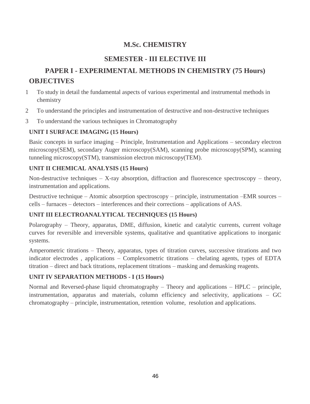## **M.Sc. CHEMISTRY**

## **SEMESTER - III ELECTIVE III**

## **PAPER I - EXPERIMENTAL METHODS IN CHEMISTRY (75 Hours) OBJECTIVES**

- 1 To study in detail the fundamental aspects of various experimental and instrumental methods in chemistry
- 2 To understand the principles and instrumentation of destructive and non-destructive techniques
- 3 To understand the various techniques in Chromatography

## **UNIT I SURFACE IMAGING (15 Hours)**

Basic concepts in surface imaging – Principle, Instrumentation and Applications – secondary electron microscopy(SEM), secondary Auger microscopy(SAM), scanning probe microscopy(SPM), scanning tunneling microscopy(STM), transmission electron microscopy(TEM).

## **UNIT II CHEMICAL ANALYSIS (15 Hours)**

Non-destructive techniques  $-$  X-ray absorption, diffraction and fluorescence spectroscopy  $-$  theory, instrumentation and applications.

Destructive technique – Atomic absorption spectroscopy – principle, instrumentation –EMR sources – cells – furnaces – detectors – interferences and their corrections – applications of AAS.

## **UNIT III ELECTROANALYTICAL TECHNIQUES (15 Hours)**

Polarography – Theory, apparatus, DME, diffusion, kinetic and catalytic currents, current voltage curves for reversible and irreversible systems, qualitative and quantitative applications to inorganic systems.

Amperometric titrations – Theory, apparatus, types of titration curves, successive titrations and two indicator electrodes , applications – Complexometric titrations – chelating agents, types of EDTA titration – direct and back titrations, replacement titrations – masking and demasking reagents.

## **UNIT IV SEPARATION METHODS - I (15 Hours)**

Normal and Reversed-phase liquid chromatography – Theory and applications – HPLC – principle, instrumentation, apparatus and materials, column efficiency and selectivity, applications – GC chromatography – principle, instrumentation, retention volume, resolution and applications.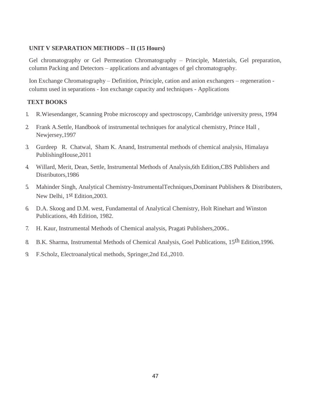## **UNIT V SEPARATION METHODS – II (15 Hours)**

Gel chromatography or Gel Permeation Chromatography – Principle, Materials, Gel preparation, column Packing and Detectors – applications and advantages of gel chromatography.

Ion Exchange Chromatography – Definition, Principle, cation and anion exchangers – regeneration column used in separations - Ion exchange capacity and techniques - Applications

## **TEXT BOOKS**

- 1. R.Wiesendanger, Scanning Probe microscopy and spectroscopy, Cambridge university press, 1994
- 2. Frank A.Settle, Handbook of instrumental techniques for analytical chemistry, Prince Hall , Newjersey,1997
- 3. Gurdeep R. Chatwal, Sham K. Anand, Instrumental methods of chemical analysis, Himalaya PublishingHouse,2011
- 4. Willard, Merit, Dean, Settle, Instrumental Methods of Analysis,6th Edition,CBS Publishers and Distributors,1986
- 5. Mahinder Singh, Analytical Chemistry-InstrumentalTechniques,Dominant Publishers & Distributers, New Delhi, 1st Edition,2003.
- 6. D.A. Skoog and D.M. west, Fundamental of Analytical Chemistry, Holt Rinehart and Winston Publications, 4th Edition, 1982.
- 7. H. Kaur, Instrumental Methods of Chemical analysis, Pragati Publishers,2006..
- 8. B.K. Sharma, Instrumental Methods of Chemical Analysis, Goel Publications, 15th Edition,1996.
- 9. F.Scholz, Electroanalytical methods, Springer,2nd Ed.,2010.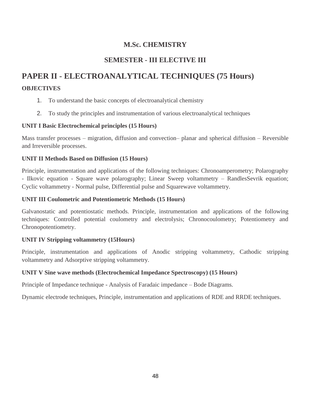## **M.Sc. CHEMISTRY**

## **SEMESTER - III ELECTIVE III**

# **PAPER II - ELECTROANALYTICAL TECHNIQUES (75 Hours)**

## **OBJECTIVES**

- 1. To understand the basic concepts of electroanalytical chemistry
- 2. To study the principles and instrumentation of various electroanalytical techniques

## **UNIT I Basic Electrochemical principles (15 Hours)**

Mass transfer processes – migration, diffusion and convection– planar and spherical diffusion – Reversible and Irreversible processes.

## **UNIT II Methods Based on Diffusion (15 Hours)**

Principle, instrumentation and applications of the following techniques: Chronoamperometry; Polarography - Ilkovic equation - Square wave polarography; Linear Sweep voltammetry – RandlesSevrik equation; Cyclic voltammetry - Normal pulse, Differential pulse and Squarewave voltammetry.

## **UNIT III Coulometric and Potentiometric Methods (15 Hours)**

Galvanostatic and potentiostatic methods. Principle, instrumentation and applications of the following techniques: Controlled potential coulometry and electrolysis; Chronocoulometry; Potentiometry and Chronopotentiometry.

## **UNIT IV Stripping voltammetry (15Hours)**

Principle, instrumentation and applications of Anodic stripping voltammetry, Cathodic stripping voltammetry and Adsorptive stripping voltammetry.

## **UNIT V Sine wave methods (Electrochemical Impedance Spectroscopy) (15 Hours)**

Principle of Impedance technique - Analysis of Faradaic impedance – Bode Diagrams.

Dynamic electrode techniques, Principle, instrumentation and applications of RDE and RRDE techniques.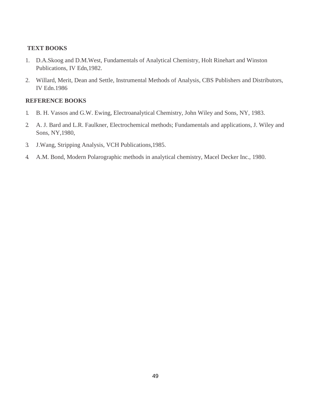## **TEXT BOOKS**

- 1. D.A.Skoog and D.M.West, Fundamentals of Analytical Chemistry, Holt Rinehart and Winston Publications, IV Edn,1982.
- 2. Willard, Merit, Dean and Settle, Instrumental Methods of Analysis, CBS Publishers and Distributors, IV Edn.1986

- 1. B. H. Vassos and G.W. Ewing, Electroanalytical Chemistry, John Wiley and Sons, NY, 1983.
- 2. A. J. Bard and L.R. Faulkner, Electrochemical methods; Fundamentals and applications, J. Wiley and Sons, NY,1980,
- 3. J.Wang, Stripping Analysis, VCH Publications,1985.
- 4. A.M. Bond, Modern Polarographic methods in analytical chemistry, Macel Decker Inc., 1980.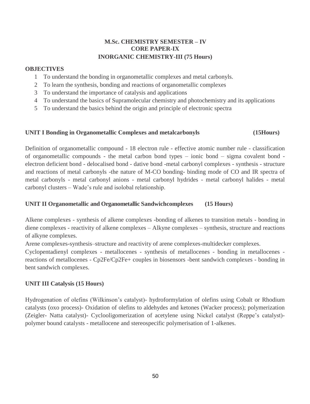## **M.Sc. CHEMISTRY SEMESTER – IV CORE PAPER-IX INORGANIC CHEMISTRY-III (75 Hours)**

## **OBJECTIVES**

- 1 To understand the bonding in organometallic complexes and metal carbonyls.
- 2 To learn the synthesis, bonding and reactions of organometallic complexes
- 3 To understand the importance of catalysis and applications
- 4 To understand the basics of Supramolecular chemistry and photochemistry and its applications
- 5 To understand the basics behind the origin and principle of electronic spectra

## **UNIT I Bonding in Organometallic Complexes and metalcarbonyls (15Hours)**

Definition of organometallic compound - 18 electron rule - effective atomic number rule - classification of organometallic compounds - the metal carbon bond types – ionic bond – sigma covalent bond electron deficient bond - delocalised bond - dative bond -metal carbonyl complexes - synthesis - structure and reactions of metal carbonyls -the nature of M-CO bonding- binding mode of CO and IR spectra of metal carbonyls - metal carbonyl anions - metal carbonyl hydrides - metal carbonyl halides - metal carbonyl clusters – Wade's rule and isolobal relationship.

## **UNIT II Organometallic and Organometallic Sandwichcomplexes (15 Hours)**

Alkene complexes - synthesis of alkene complexes -bonding of alkenes to transition metals - bonding in diene complexes - reactivity of alkene complexes – Alkyne complexes – synthesis, structure and reactions of alkyne complexes.

Arene complexes-synthesis–structure and reactivity of arene complexes-multidecker complexes.

Cyclopentadienyl complexes - metallocenes - synthesis of metallocenes - bonding in metallocenes reactions of metallocenes - Cp2Fe/Cp2Fe+ couples in biosensors -bent sandwich complexes - bonding in bent sandwich complexes.

## **UNIT III Catalysis (15 Hours)**

Hydrogenation of olefins (Wilkinson's catalyst)- hydroformylation of olefins using Cobalt or Rhodium catalysts (oxo process)- Oxidation of olefins to aldehydes and ketones (Wacker process); polymerization (Zeigler- Natta catalyst)- Cyclooligomerization of acetylene using Nickel catalyst (Reppe's catalyst) polymer bound catalysts - metallocene and stereospecific polymerisation of 1-alkenes.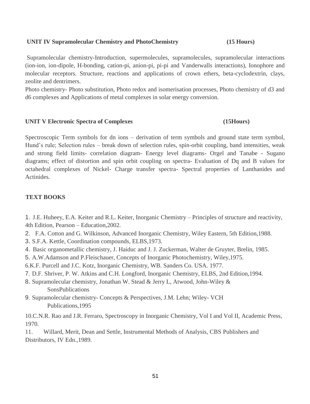## **UNIT IV Supramolecular Chemistry and PhotoChemistry (15 Hours)**

Supramolecular chemistry-Introduction, supermolecules, supramolecules, supramolecular interactions (ion-ion, ion-dipole, H-bonding, cation-pi, anion-pi, pi-pi and Vanderwalls interactions), Ionophore and molecular receptors. Structure, reactions and applications of crown ethers, beta-cyclodextrin, clays, zeolite and dentrimers.

Photo chemistry- Photo substitution, Photo redox and isomerisation processes, Photo chemistry of d3 and d6 complexes and Applications of metal complexes in solar energy conversion.

## **UNIT V Electronic Spectra of Complexes (15Hours)**

Spectroscopic Term symbols for dn ions – derivation of term symbols and ground state term symbol, Hund's rule; Selection rules – break down of selection rules, spin-orbit coupling, band intensities, weak and strong field limits- correlation diagram- Energy level diagrams- Orgel and Tanabe - Sugano diagrams; effect of distortion and spin orbit coupling on spectra- Evaluation of Dq and B values for octahedral complexes of Nickel- Charge transfer spectra- Spectral properties of Lanthanides and Actinides.

## **TEXT BOOKS**

- 1. J.E. Huheey, E.A. Keiter and R.L. Keiter, Inorganic Chemistry Principles of structure and reactivity, 4th Edition, Pearson – Education,2002.
- 2. F.A. Cotton and G. Wilkinson, Advanced Inorganic Chemistry, Wiley Eastern, 5th Edition,1988.
- 3. S.F.A. Kettle, Coordination compounds, ELBS,1973.
- 4. Basic organometallic chemistry, J. Haiduc and J. J. Zuckerman, Walter de Gruyter, Brelin, 1985.
- 5. A.W.Adamson and P.Fleischauer, Concepts of Inorganic Photochemistry, Wiley,1975.
- 6.K.F. Purcell and J.C. Kotz, Inorganic Chemistry, WB. Sanders Co. USA. 1977.
- 7. D.F. Shriver, P. W. Atkins and C.H. Longford, Inorganic Chemistry, ELBS, 2nd Edition,1994.
- 8. Supramolecular chemistry, Jonathan W. Stead & Jerry L, Atwood, John-Wiley & **SonsPublications**
- 9. Supramolecular chemistry- Concepts & Perspectives, J.M. Lehn; Wiley- VCH Publications,1995

10.C.N.R. Rao and J.R. Ferraro, Spectroscopy in Inorganic Chemistry, Vol I and Vol II, Academic Press, 1970.

11. Willard, Merit, Dean and Settle, Instrumental Methods of Analysis, CBS Publishers and Distributors, IV Edn.,1989.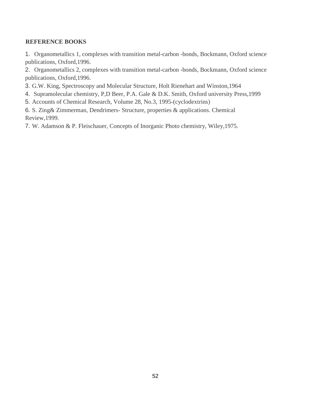## **REFERENCE BOOKS**

1. Organometallics 1, complexes with transition metal-carbon -bonds, Bockmann, Oxford science publications, Oxford,1996.

2. Organometallics 2, complexes with transition metal-carbon -bonds, Bockmann, Oxford science publications, Oxford,1996.

- 3. G.W. King, Spectroscopy and Molecular Structure, Holt Rienehart and Winston,1964
- 4. Supramolecular chemistry, P,D Beer, P.A. Gale & D.K. Smith, Oxford university Press,1999
- 5. Accounts of Chemical Research, Volume 28, No.3, 1995-(cyclodextrins)

6. S. Zing& Zimmerman, Dendrimers- Structure, properties & applications. Chemical Review,1999.

7. W. Adamson & P. Fleischauer, Concepts of Inorganic Photo chemistry, Wiley,1975.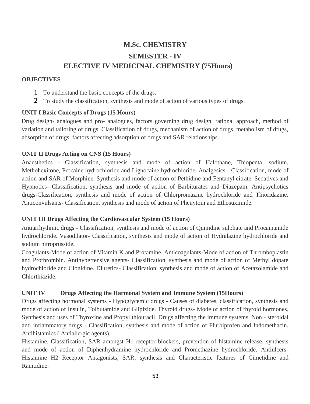## **M.Sc. CHEMISTRY SEMESTER - IV ELECTIVE IV MEDICINAL CHEMISTRY (75Hours)**

## **OBJECTIVES**

- 1 To understand the basic concepts of the drugs.
- 2 To study the classification, synthesis and mode of action of various types of drugs.

## **UNIT I Basic Concepts of Drugs (15 Hours)**

Drug design- analogues and pro- analogues, factors governing drug design, rational approach, method of variation and tailoring of drugs. Classification of drugs, mechanism of action of drugs, metabolism of drugs, absorption of drugs, factors affecting adsorption of drugs and SAR relationships.

## **UNIT II Drugs Acting on CNS (15 Hours)**

Anaesthetics - Classification, synthesis and mode of action of Halothane, Thiopental sodium, Methohexitone, Procaine hydrochloride and Lignocaine hydrochloride. Analgesics - Classification, mode of action and SAR of Morphine. Synthesis and mode of action of Pethidine and Fentanyl citrate. Sedatives and Hypnotics- Classification, synthesis and mode of action of Barbiturates and Diazepam. Antipsychotics drugs-Classification, synthesis and mode of action of Chlorpromazine hydrochloride and Thioridazine. Anticonvulsants- Classification, synthesis and mode of action of Phenytoin and Ethosuximide.

## **UNIT III Drugs Affecting the Cardiovascular System (15 Hours)**

Antiarrhythmic drugs - Classification, synthesis and mode of action of Quinidine sulphate and Procainamide hydrochloride. Vasodilator- Classification, synthesis and mode of action of Hydralazine hydrochloride and sodium nitroprusside.

Coagulants-Mode of action of Vitamin K and Protamine. Anticoagulants-Mode of action of Thromboplastin and Prothrombin. Antihypertensive agents- Classification, synthesis and mode of action of Methyl dopate hydrochloride and Clonidine. Diuretics- Classification, synthesis and mode of action of Acetazolamide and Chlorthiazide.

## **UNIT IV Drugs Affecting the Harmonal System and Immune System (15Hours)**

Drugs affecting hormonal systems - Hypoglycemic drugs - Causes of diabetes, classification, synthesis and mode of action of Insulin, Tolbutamide and Glipizide. Thyroid drugs- Mode of action of thyroid hormones, Synthesis and uses of Thyroxine and Propyl thiouracil. Drugs affecting the immune systems. Non - steroidal anti inflammatory drugs - Classification, synthesis and mode of action of Flurbiprofen and Indomethacin. Antihistamics ( Antiallergic agents).

Histamine, Classification, SAR amongst H1-receptor blockers, prevention of histamine release, synthesis and mode of action of Diphenhydramine hydrochloride and Promethazine hydrochloride. Antiulcers-Histamine H2 Receptor Antagonists, SAR, synthesis and Characteristic features of Cimetidine and Ranitidine.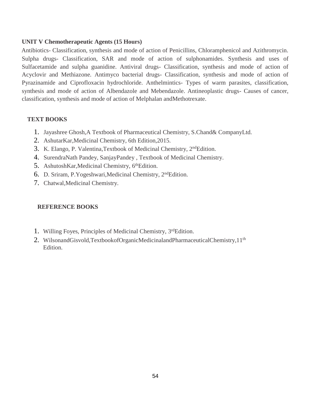## **UNIT V Chemotherapeutic Agents (15 Hours)**

Antibiotics- Classification, synthesis and mode of action of Penicillins, Chloramphenicol and Azithromycin. Sulpha drugs- Classification, SAR and mode of action of sulphonamides. Synthesis and uses of Sulfacetamide and sulpha guanidine. Antiviral drugs- Classification, synthesis and mode of action of Acyclovir and Methiazone. Antimyco bacterial drugs- Classification, synthesis and mode of action of Pyrazinamide and Ciprofloxacin hydrochloride. Anthelmintics- Types of warm parasites, classification, synthesis and mode of action of Albendazole and Mebendazole. Antineoplastic drugs- Causes of cancer, classification, synthesis and mode of action of Melphalan andMethotrexate.

## **TEXT BOOKS**

- 1. Jayashree Ghosh,A Textbook of Pharmaceutical Chemistry, S.Chand& CompanyLtd.
- 2. AshutarKar,Medicinal Chemistry, 6th Edition,2015.
- 3. K. Elango, P. Valentina, Textbook of Medicinal Chemistry, 2<sup>nd</sup>Edition.
- 4. SurendraNath Pandey, SanjayPandey , Textbook of Medicinal Chemistry.
- 5. AshutoshKar, Medicinal Chemistry, 6<sup>th</sup>Edition.
- 6. D. Sriram, P.Yogeshwari,Medicinal Chemistry, 2ndEdition.
- 7. Chatwal,Medicinal Chemistry.

- 1. Willing Foyes, Principles of Medicinal Chemistry, 3rdEdition.
- 2. WilsonandGisvold,TextbookofOrganicMedicinalandPharmaceuticalChemistry,11<sup>th</sup> Edition.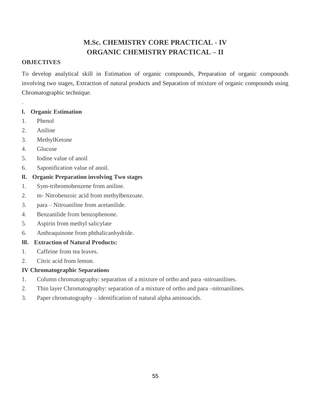## **M.Sc. CHEMISTRY CORE PRACTICAL - IV ORGANIC CHEMISTRY PRACTICAL – II**

## **OBJECTIVES**

To develop analytical skill in Estimation of organic compounds, Preparation of organic compounds involving two stages, Extraction of natural products and Separation of mixture of organic compounds using Chromatographic technique.

## **I. Organic Estimation**

1. Phenol

.

- 2. Aniline
- 3. MethylKetone
- 4. Glucose
- 5. Iodine value of anoil
- 6. Saponification value of anoil.
- **II. Organic Preparation involving Two stages**
- 1. Sym-tribromobenzene from aniline.
- 2. m- Nitrobenzoic acid from methylbenzoate.
- 3. para Nitroaniline from acetanilide.
- 4. Benzanilide from benzophenone.
- 5. Aspirin from methyl salicylate
- 6. Anthraquinone from phthalicanhydride.

## **III. Extraction of Natural Products:**

- 1. Caffeine from tea leaves.
- 2. Citric acid from lemon.

## **IV Chromatographic Separations**

- 1. Column chromatography: separation of a mixture of ortho and para -nitroanilines.
- 2. Thin layer Chromatography: separation of a mixture of ortho and para –nitroanilines.
- 3. Paper chromatography identification of natural alpha aminoacids.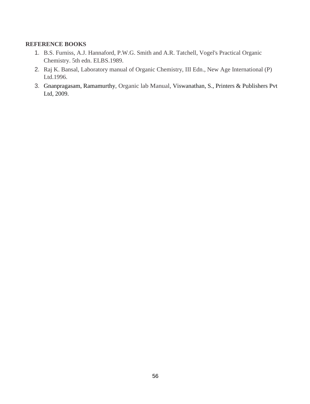- 1. B.S. Furniss, A.J. Hannaford, P.W.G. Smith and A.R. Tatchell, Vogel's Practical Organic Chemistry. 5th edn. ELBS.1989.
- 2. Raj K. Bansal, Laboratory manual of Organic Chemistry, III Edn., New Age International (P) Ltd.1996.
- 3. [Gnanpragasam,](https://www.amazon.in/s/ref=dp_byline_sr_book_1?ie=UTF8&field-author=Dr.+N.S.+Gnanpragasam&search-alias=stripbooks) Ramamurthy, Organic lab Manual, Viswanathan, S., Printers & Publishers Pvt Ltd, 2009.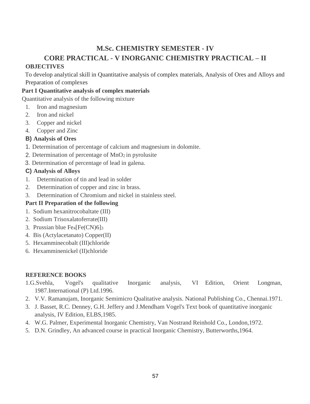# **M.Sc. CHEMISTRY SEMESTER - IV CORE PRACTICAL - V INORGANIC CHEMISTRY PRACTICAL – II**

## **OBJECTIVES**

To develop analytical skill in Quantitative analysis of complex materials, Analysis of Ores and Alloys and Preparation of complexes

## **Part I Quantitative analysis of complex materials**

Quantitative analysis of the following mixture

- 1. Iron and magnesium
- 2. Iron and nickel
- 3. Copper and nickel
- 4. Copper and Zinc

## **B) Analysis of Ores**

- 1. Determination of percentage of calcium and magnesium in dolomite.
- 2. Determination of percentage of  $MnO<sub>2</sub>$  in pyrolusite
- 3. Determination of percentage of lead in galena.

## **C) Analysis of Alloys**

- 1. Determination of tin and lead in solder
- 2. Determination of copper and zinc in brass.
- 3. Determination of Chromium and nickel in stainless steel.

## **Part II Preparation of the following**

- 1. Sodium hexanitrocobaltate (III)
- 2. Sodium Trisoxalatoferrate(III)
- 3. Prussian blue Fe4[Fe(CN)6]<sup>3</sup>
- 4. Bis (Actylacetanato) Copper(II)
- 5. Hexamminecobalt (III)chloride
- 6. Hexamminenickel (II)chloride

- 1.G.Svehla, Vogel's qualitative Inorganic analysis, VI Edition, Orient Longman, 1987.International (P) Ltd.1996.
- 2. V.V. Ramanujam, Inorganic Semimicro Qualitative analysis. National Publishing Co., Chennai.1971.
- 3. J. Basset, R.C. Denney, G.H. Jeffery and J.Mendham Vogel's Text book of quantitative inorganic analysis, IV Edition, ELBS,1985.
- 4. W.G. Palmer, Experimental Inorganic Chemistry, Van Nostrand Reinhold Co., London,1972.
- 5. D.N. Grindley, An advanced course in practical Inorganic Chemistry, Butterworths,1964.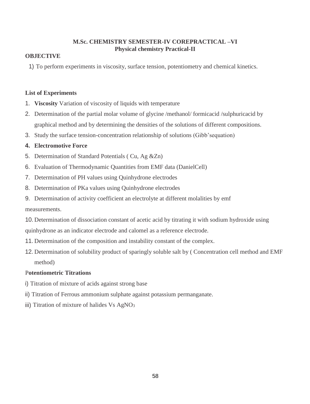## **M.Sc. CHEMISTRY SEMESTER-IV COREPRACTICAL –VI Physical chemistry Practical-II**

## **OBJECTIVE**

1) To perform experiments in viscosity, surface tension, potentiometry and chemical kinetics.

## **List of Experiments**

- 1. **Viscosity** Variation of viscosity of liquids with temperature
- 2. Determination of the partial molar volume of glycine /methanol/ formicacid /sulphuricacid by graphical method and by determining the densities of the solutions of different compositions.
- 3. Study the surface tension-concentration relationship of solutions (Gibb'sequation)

## **4. Electromotive Force**

- 5. Determination of Standard Potentials ( Cu, Ag &Zn)
- 6. Evaluation of Thermodynamic Quantities from EMF data (DanielCell)
- 7. Determination of PH values using Quinhydrone electrodes
- 8. Determination of PKa values using Quinhydrone electrodes
- 9. Determination of activity coefficient an electrolyte at different molalities by emf

measurements.

- 10. Determination of dissociation constant of acetic acid by titrating it with sodium hydroxide using quinhydrone as an indicator electrode and calomel as a reference electrode.
- 11. Determination of the composition and instability constant of the complex.
- 12. Determination of solubility product of sparingly soluble salt by ( Concentration cell method and EMF method)

## P**otentiometric Titrations**

- i) Titration of mixture of acids against strong base
- ii) Titration of Ferrous ammonium sulphate against potassium permanganate.
- iii) Titration of mixture of halides Vs AgNO<sub>3</sub>